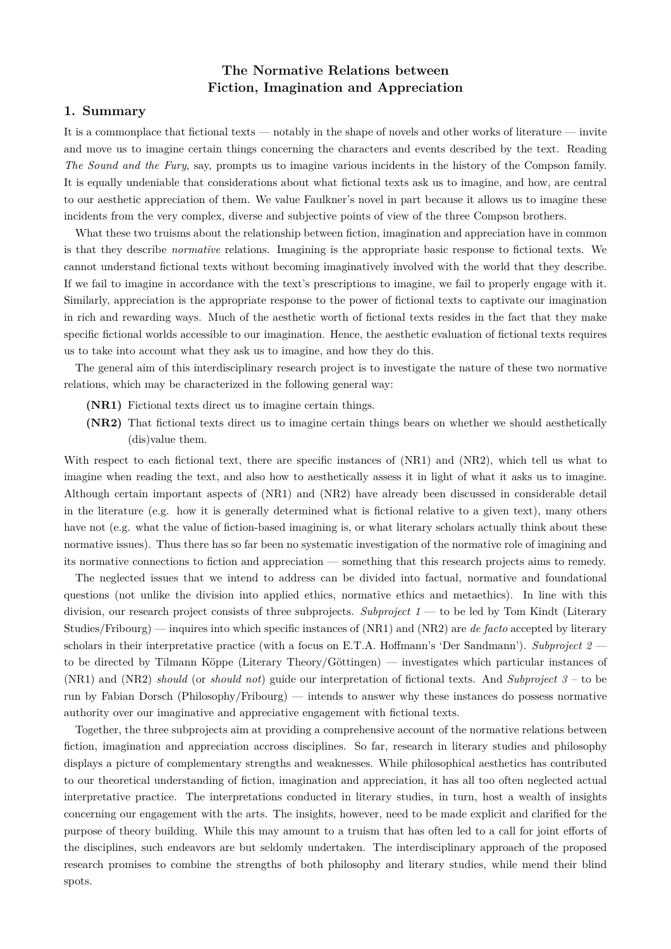# **The Normative Relations between Fiction, Imagination and Appreciation**

### **1. Summary**

It is a commonplace that fictional texts — notably in the shape of novels and other works of literature — invite and move us to imagine certain things concerning the characters and events described by the text. Reading *The Sound and the Fury*, say, prompts us to imagine various incidents in the history of the Compson family. It is equally undeniable that considerations about what fictional texts ask us to imagine, and how, are central to our aesthetic appreciation of them. We value Faulkner's novel in part because it allows us to imagine these incidents from the very complex, diverse and subjective points of view of the three Compson brothers.

What these two truisms about the relationship between fiction, imagination and appreciation have in common is that they describe *normative* relations. Imagining is the appropriate basic response to fictional texts. We cannot understand fictional texts without becoming imaginatively involved with the world that they describe. If we fail to imagine in accordance with the text's prescriptions to imagine, we fail to properly engage with it. Similarly, appreciation is the appropriate response to the power of fictional texts to captivate our imagination in rich and rewarding ways. Much of the aesthetic worth of fictional texts resides in the fact that they make specific fictional worlds accessible to our imagination. Hence, the aesthetic evaluation of fictional texts requires us to take into account what they ask us to imagine, and how they do this.

The general aim of this interdisciplinary research project is to investigate the nature of these two normative relations, which may be characterized in the following general way:

- **(NR1)** Fictional texts direct us to imagine certain things.
- **(NR2)** That fictional texts direct us to imagine certain things bears on whether we should aesthetically (dis)value them.

With respect to each fictional text, there are specific instances of (NR1) and (NR2), which tell us what to imagine when reading the text, and also how to aesthetically assess it in light of what it asks us to imagine. Although certain important aspects of (NR1) and (NR2) have already been discussed in considerable detail in the literature (e.g. how it is generally determined what is fictional relative to a given text), many others have not (e.g. what the value of fiction-based imagining is, or what literary scholars actually think about these normative issues). Thus there has so far been no systematic investigation of the normative role of imagining and its normative connections to fiction and appreciation — something that this research projects aims to remedy.

The neglected issues that we intend to address can be divided into factual, normative and foundational questions (not unlike the division into applied ethics, normative ethics and metaethics). In line with this division, our research project consists of three subprojects. *Subproject 1* — to be led by Tom Kindt (Literary Studies/Fribourg) — inquires into which specific instances of (NR1) and (NR2) are *de facto* accepted by literary scholars in their interpretative practice (with a focus on E.T.A. Hoffmann's 'Der Sandmann'). *Subproject 2* – to be directed by Tilmann Köppe (Literary Theory/Göttingen) — investigates which particular instances of (NR1) and (NR2) *should* (or *should not*) guide our interpretation of fictional texts. And *Subproject 3* – to be run by Fabian Dorsch (Philosophy/Fribourg) — intends to answer why these instances do possess normative authority over our imaginative and appreciative engagement with fictional texts.

Together, the three subprojects aim at providing a comprehensive account of the normative relations between fiction, imagination and appreciation accross disciplines. So far, research in literary studies and philosophy displays a picture of complementary strengths and weaknesses. While philosophical aesthetics has contributed to our theoretical understanding of fiction, imagination and appreciation, it has all too often neglected actual interpretative practice. The interpretations conducted in literary studies, in turn, host a wealth of insights concerning our engagement with the arts. The insights, however, need to be made explicit and clarified for the purpose of theory building. While this may amount to a truism that has often led to a call for joint efforts of the disciplines, such endeavors are but seldomly undertaken. The interdisciplinary approach of the proposed research promises to combine the strengths of both philosophy and literary studies, while mend their blind spots.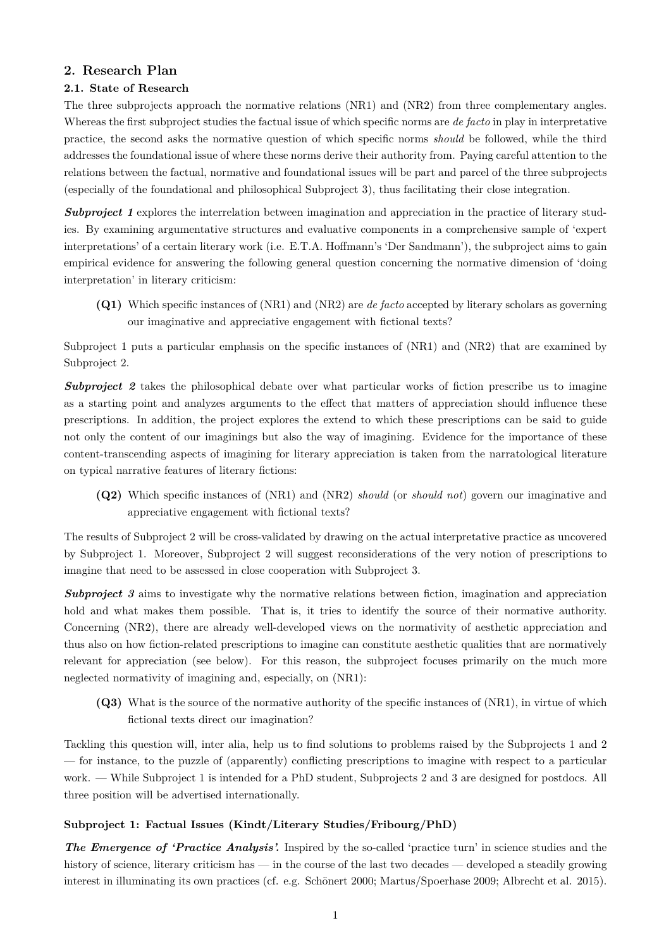## **2. Research Plan**

## **2.1. State of Research**

The three subprojects approach the normative relations (NR1) and (NR2) from three complementary angles. Whereas the first subproject studies the factual issue of which specific norms are *de facto* in play in interpretative practice, the second asks the normative question of which specific norms *should* be followed, while the third addresses the foundational issue of where these norms derive their authority from. Paying careful attention to the relations between the factual, normative and foundational issues will be part and parcel of the three subprojects (especially of the foundational and philosophical Subproject 3), thus facilitating their close integration.

*Subproject 1* explores the interrelation between imagination and appreciation in the practice of literary studies. By examining argumentative structures and evaluative components in a comprehensive sample of 'expert interpretations' of a certain literary work (i.e. E.T.A. Hoffmann's 'Der Sandmann'), the subproject aims to gain empirical evidence for answering the following general question concerning the normative dimension of 'doing interpretation' in literary criticism:

**(Q1)** Which specific instances of (NR1) and (NR2) are *de facto* accepted by literary scholars as governing our imaginative and appreciative engagement with fictional texts?

Subproject 1 puts a particular emphasis on the specific instances of (NR1) and (NR2) that are examined by Subproject 2.

**Subproject 2** takes the philosophical debate over what particular works of fiction prescribe us to imagine as a starting point and analyzes arguments to the effect that matters of appreciation should influence these prescriptions. In addition, the project explores the extend to which these prescriptions can be said to guide not only the content of our imaginings but also the way of imagining. Evidence for the importance of these content-transcending aspects of imagining for literary appreciation is taken from the narratological literature on typical narrative features of literary fictions:

**(Q2)** Which specific instances of (NR1) and (NR2) *should* (or *should not*) govern our imaginative and appreciative engagement with fictional texts?

The results of Subproject 2 will be cross-validated by drawing on the actual interpretative practice as uncovered by Subproject 1. Moreover, Subproject 2 will suggest reconsiderations of the very notion of prescriptions to imagine that need to be assessed in close cooperation with Subproject 3.

**Subproject 3** aims to investigate why the normative relations between fiction, imagination and appreciation hold and what makes them possible. That is, it tries to identify the source of their normative authority. Concerning (NR2), there are already well-developed views on the normativity of aesthetic appreciation and thus also on how fiction-related prescriptions to imagine can constitute aesthetic qualities that are normatively relevant for appreciation (see below). For this reason, the subproject focuses primarily on the much more neglected normativity of imagining and, especially, on (NR1):

**(Q3)** What is the source of the normative authority of the specific instances of (NR1), in virtue of which fictional texts direct our imagination?

Tackling this question will, inter alia, help us to find solutions to problems raised by the Subprojects 1 and 2 — for instance, to the puzzle of (apparently) conflicting prescriptions to imagine with respect to a particular work. — While Subproject 1 is intended for a PhD student, Subprojects 2 and 3 are designed for postdocs. All three position will be advertised internationally.

#### **Subproject 1: Factual Issues (Kindt/Literary Studies/Fribourg/PhD)**

*The Emergence of 'Practice Analysis'.* Inspired by the so-called 'practice turn' in science studies and the history of science, literary criticism has — in the course of the last two decades — developed a steadily growing interest in illuminating its own practices (cf. e.g. Schönert 2000; Martus/Spoerhase 2009; Albrecht et al. 2015).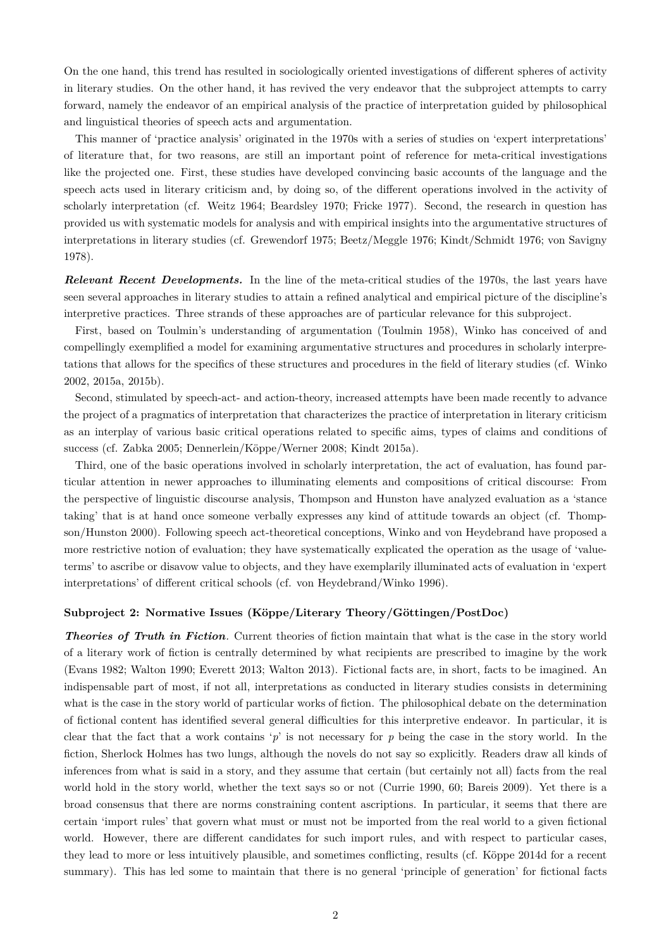On the one hand, this trend has resulted in sociologically oriented investigations of different spheres of activity in literary studies. On the other hand, it has revived the very endeavor that the subproject attempts to carry forward, namely the endeavor of an empirical analysis of the practice of interpretation guided by philosophical and linguistical theories of speech acts and argumentation.

This manner of 'practice analysis' originated in the 1970s with a series of studies on 'expert interpretations' of literature that, for two reasons, are still an important point of reference for meta-critical investigations like the projected one. First, these studies have developed convincing basic accounts of the language and the speech acts used in literary criticism and, by doing so, of the different operations involved in the activity of scholarly interpretation (cf. Weitz 1964; Beardsley 1970; Fricke 1977). Second, the research in question has provided us with systematic models for analysis and with empirical insights into the argumentative structures of interpretations in literary studies (cf. Grewendorf 1975; Beetz/Meggle 1976; Kindt/Schmidt 1976; von Savigny 1978).

*Relevant Recent Developments.* In the line of the meta-critical studies of the 1970s, the last years have seen several approaches in literary studies to attain a refined analytical and empirical picture of the discipline's interpretive practices. Three strands of these approaches are of particular relevance for this subproject.

First, based on Toulmin's understanding of argumentation (Toulmin 1958), Winko has conceived of and compellingly exemplified a model for examining argumentative structures and procedures in scholarly interpretations that allows for the specifics of these structures and procedures in the field of literary studies (cf. Winko 2002, 2015a, 2015b).

Second, stimulated by speech-act- and action-theory, increased attempts have been made recently to advance the project of a pragmatics of interpretation that characterizes the practice of interpretation in literary criticism as an interplay of various basic critical operations related to specific aims, types of claims and conditions of success (cf. Zabka 2005; Dennerlein/Köppe/Werner 2008; Kindt 2015a).

Third, one of the basic operations involved in scholarly interpretation, the act of evaluation, has found particular attention in newer approaches to illuminating elements and compositions of critical discourse: From the perspective of linguistic discourse analysis, Thompson and Hunston have analyzed evaluation as a 'stance taking' that is at hand once someone verbally expresses any kind of attitude towards an object (cf. Thompson/Hunston 2000). Following speech act-theoretical conceptions, Winko and von Heydebrand have proposed a more restrictive notion of evaluation; they have systematically explicated the operation as the usage of 'valueterms' to ascribe or disavow value to objects, and they have exemplarily illuminated acts of evaluation in 'expert interpretations' of different critical schools (cf. von Heydebrand/Winko 1996).

#### **Subproject 2: Normative Issues (Köppe/Literary Theory/Göttingen/PostDoc)**

*Theories of Truth in Fiction.* Current theories of fiction maintain that what is the case in the story world of a literary work of fiction is centrally determined by what recipients are prescribed to imagine by the work (Evans 1982; Walton 1990; Everett 2013; Walton 2013). Fictional facts are, in short, facts to be imagined. An indispensable part of most, if not all, interpretations as conducted in literary studies consists in determining what is the case in the story world of particular works of fiction. The philosophical debate on the determination of fictional content has identified several general difficulties for this interpretive endeavor. In particular, it is clear that the fact that a work contains '*p*' is not necessary for *p* being the case in the story world. In the fiction, Sherlock Holmes has two lungs, although the novels do not say so explicitly. Readers draw all kinds of inferences from what is said in a story, and they assume that certain (but certainly not all) facts from the real world hold in the story world, whether the text says so or not (Currie 1990, 60; Bareis 2009). Yet there is a broad consensus that there are norms constraining content ascriptions. In particular, it seems that there are certain 'import rules' that govern what must or must not be imported from the real world to a given fictional world. However, there are different candidates for such import rules, and with respect to particular cases, they lead to more or less intuitively plausible, and sometimes conflicting, results (cf. Köppe 2014d for a recent summary). This has led some to maintain that there is no general 'principle of generation' for fictional facts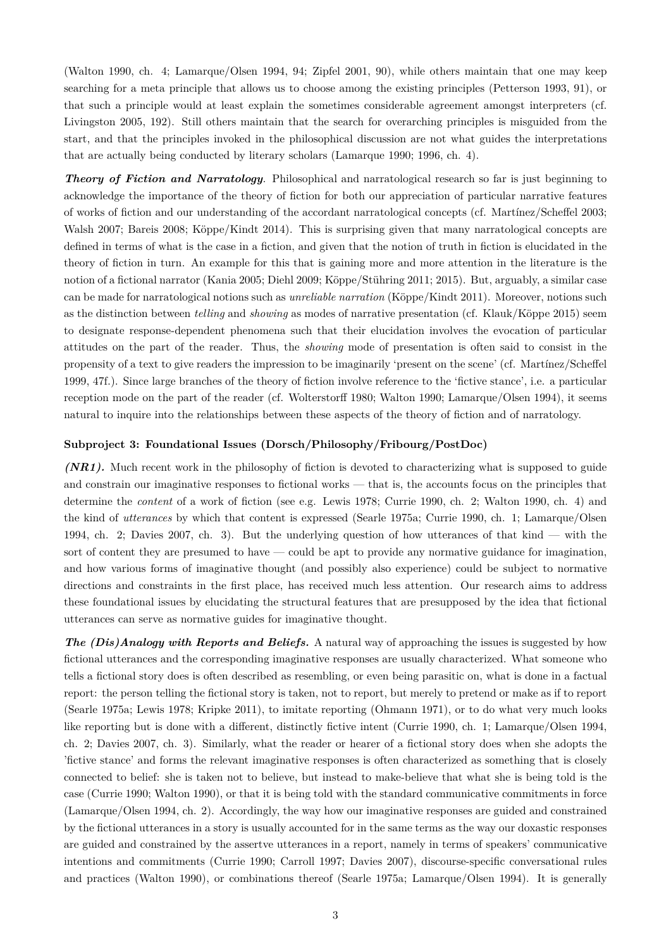(Walton 1990, ch. 4; Lamarque/Olsen 1994, 94; Zipfel 2001, 90), while others maintain that one may keep searching for a meta principle that allows us to choose among the existing principles (Petterson 1993, 91), or that such a principle would at least explain the sometimes considerable agreement amongst interpreters (cf. Livingston 2005, 192). Still others maintain that the search for overarching principles is misguided from the start, and that the principles invoked in the philosophical discussion are not what guides the interpretations that are actually being conducted by literary scholars (Lamarque 1990; 1996, ch. 4).

*Theory of Fiction and Narratology*. Philosophical and narratological research so far is just beginning to acknowledge the importance of the theory of fiction for both our appreciation of particular narrative features of works of fiction and our understanding of the accordant narratological concepts (cf. Martínez/Scheffel 2003; Walsh 2007; Bareis 2008; Köppe/Kindt 2014). This is surprising given that many narratological concepts are defined in terms of what is the case in a fiction, and given that the notion of truth in fiction is elucidated in the theory of fiction in turn. An example for this that is gaining more and more attention in the literature is the notion of a fictional narrator (Kania 2005; Diehl 2009; Köppe/Stühring 2011; 2015). But, arguably, a similar case can be made for narratological notions such as *unreliable narration* (Köppe/Kindt 2011). Moreover, notions such as the distinction between *telling* and *showing* as modes of narrative presentation (cf. Klauk/Köppe 2015) seem to designate response-dependent phenomena such that their elucidation involves the evocation of particular attitudes on the part of the reader. Thus, the *showing* mode of presentation is often said to consist in the propensity of a text to give readers the impression to be imaginarily 'present on the scene' (cf. Martínez/Scheffel 1999, 47f.). Since large branches of the theory of fiction involve reference to the 'fictive stance', i.e. a particular reception mode on the part of the reader (cf. Wolterstorff 1980; Walton 1990; Lamarque/Olsen 1994), it seems natural to inquire into the relationships between these aspects of the theory of fiction and of narratology.

#### **Subproject 3: Foundational Issues (Dorsch/Philosophy/Fribourg/PostDoc)**

*(NR1).* Much recent work in the philosophy of fiction is devoted to characterizing what is supposed to guide and constrain our imaginative responses to fictional works — that is, the accounts focus on the principles that determine the *content* of a work of fiction (see e.g. Lewis 1978; Currie 1990, ch. 2; Walton 1990, ch. 4) and the kind of *utterances* by which that content is expressed (Searle 1975a; Currie 1990, ch. 1; Lamarque/Olsen 1994, ch. 2; Davies 2007, ch. 3). But the underlying question of how utterances of that kind — with the sort of content they are presumed to have — could be apt to provide any normative guidance for imagination, and how various forms of imaginative thought (and possibly also experience) could be subject to normative directions and constraints in the first place, has received much less attention. Our research aims to address these foundational issues by elucidating the structural features that are presupposed by the idea that fictional utterances can serve as normative guides for imaginative thought.

*The (Dis)Analogy with Reports and Beliefs.* A natural way of approaching the issues is suggested by how fictional utterances and the corresponding imaginative responses are usually characterized. What someone who tells a fictional story does is often described as resembling, or even being parasitic on, what is done in a factual report: the person telling the fictional story is taken, not to report, but merely to pretend or make as if to report (Searle 1975a; Lewis 1978; Kripke 2011), to imitate reporting (Ohmann 1971), or to do what very much looks like reporting but is done with a different, distinctly fictive intent (Currie 1990, ch. 1; Lamarque/Olsen 1994, ch. 2; Davies 2007, ch. 3). Similarly, what the reader or hearer of a fictional story does when she adopts the 'fictive stance' and forms the relevant imaginative responses is often characterized as something that is closely connected to belief: she is taken not to believe, but instead to make-believe that what she is being told is the case (Currie 1990; Walton 1990), or that it is being told with the standard communicative commitments in force (Lamarque/Olsen 1994, ch. 2). Accordingly, the way how our imaginative responses are guided and constrained by the fictional utterances in a story is usually accounted for in the same terms as the way our doxastic responses are guided and constrained by the assertve utterances in a report, namely in terms of speakers' communicative intentions and commitments (Currie 1990; Carroll 1997; Davies 2007), discourse-specific conversational rules and practices (Walton 1990), or combinations thereof (Searle 1975a; Lamarque/Olsen 1994). It is generally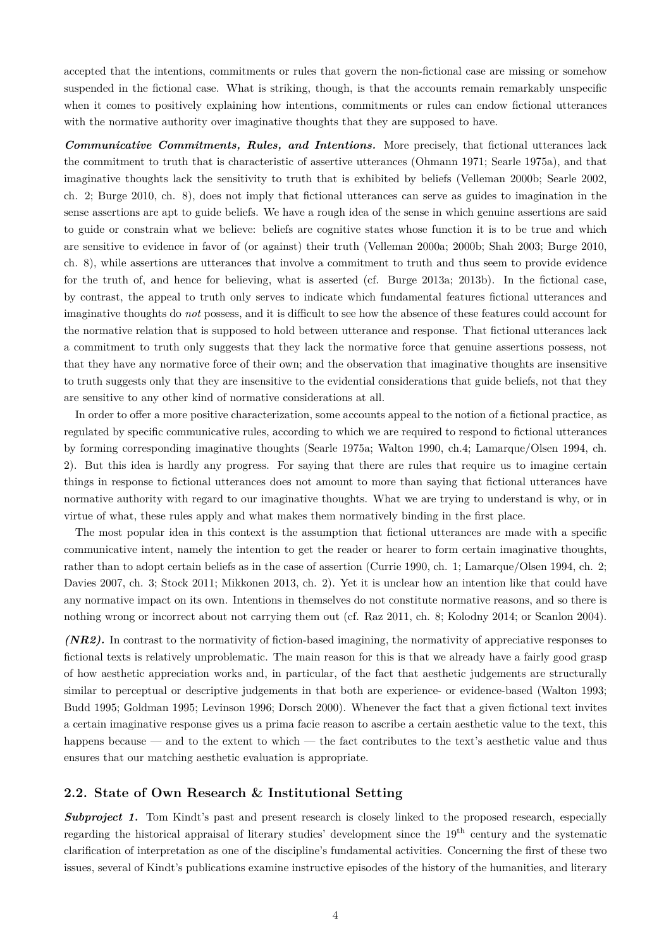accepted that the intentions, commitments or rules that govern the non-fictional case are missing or somehow suspended in the fictional case. What is striking, though, is that the accounts remain remarkably unspecific when it comes to positively explaining how intentions, commitments or rules can endow fictional utterances with the normative authority over imaginative thoughts that they are supposed to have.

*Communicative Commitments, Rules, and Intentions.* More precisely, that fictional utterances lack the commitment to truth that is characteristic of assertive utterances (Ohmann 1971; Searle 1975a), and that imaginative thoughts lack the sensitivity to truth that is exhibited by beliefs (Velleman 2000b; Searle 2002, ch. 2; Burge 2010, ch. 8), does not imply that fictional utterances can serve as guides to imagination in the sense assertions are apt to guide beliefs. We have a rough idea of the sense in which genuine assertions are said to guide or constrain what we believe: beliefs are cognitive states whose function it is to be true and which are sensitive to evidence in favor of (or against) their truth (Velleman 2000a; 2000b; Shah 2003; Burge 2010, ch. 8), while assertions are utterances that involve a commitment to truth and thus seem to provide evidence for the truth of, and hence for believing, what is asserted (cf. Burge 2013a; 2013b). In the fictional case, by contrast, the appeal to truth only serves to indicate which fundamental features fictional utterances and imaginative thoughts do *not* possess, and it is difficult to see how the absence of these features could account for the normative relation that is supposed to hold between utterance and response. That fictional utterances lack a commitment to truth only suggests that they lack the normative force that genuine assertions possess, not that they have any normative force of their own; and the observation that imaginative thoughts are insensitive to truth suggests only that they are insensitive to the evidential considerations that guide beliefs, not that they are sensitive to any other kind of normative considerations at all.

In order to offer a more positive characterization, some accounts appeal to the notion of a fictional practice, as regulated by specific communicative rules, according to which we are required to respond to fictional utterances by forming corresponding imaginative thoughts (Searle 1975a; Walton 1990, ch.4; Lamarque/Olsen 1994, ch. 2). But this idea is hardly any progress. For saying that there are rules that require us to imagine certain things in response to fictional utterances does not amount to more than saying that fictional utterances have normative authority with regard to our imaginative thoughts. What we are trying to understand is why, or in virtue of what, these rules apply and what makes them normatively binding in the first place.

The most popular idea in this context is the assumption that fictional utterances are made with a specific communicative intent, namely the intention to get the reader or hearer to form certain imaginative thoughts, rather than to adopt certain beliefs as in the case of assertion (Currie 1990, ch. 1; Lamarque/Olsen 1994, ch. 2; Davies 2007, ch. 3; Stock 2011; Mikkonen 2013, ch. 2). Yet it is unclear how an intention like that could have any normative impact on its own. Intentions in themselves do not constitute normative reasons, and so there is nothing wrong or incorrect about not carrying them out (cf. Raz 2011, ch. 8; Kolodny 2014; or Scanlon 2004).

*(NR2).* In contrast to the normativity of fiction-based imagining, the normativity of appreciative responses to fictional texts is relatively unproblematic. The main reason for this is that we already have a fairly good grasp of how aesthetic appreciation works and, in particular, of the fact that aesthetic judgements are structurally similar to perceptual or descriptive judgements in that both are experience- or evidence-based (Walton 1993; Budd 1995; Goldman 1995; Levinson 1996; Dorsch 2000). Whenever the fact that a given fictional text invites a certain imaginative response gives us a prima facie reason to ascribe a certain aesthetic value to the text, this happens because — and to the extent to which — the fact contributes to the text's aesthetic value and thus ensures that our matching aesthetic evaluation is appropriate.

## **2.2. State of Own Research & Institutional Setting**

**Subproject 1.** Tom Kindt's past and present research is closely linked to the proposed research, especially regarding the historical appraisal of literary studies' development since the 19th century and the systematic clarification of interpretation as one of the discipline's fundamental activities. Concerning the first of these two issues, several of Kindt's publications examine instructive episodes of the history of the humanities, and literary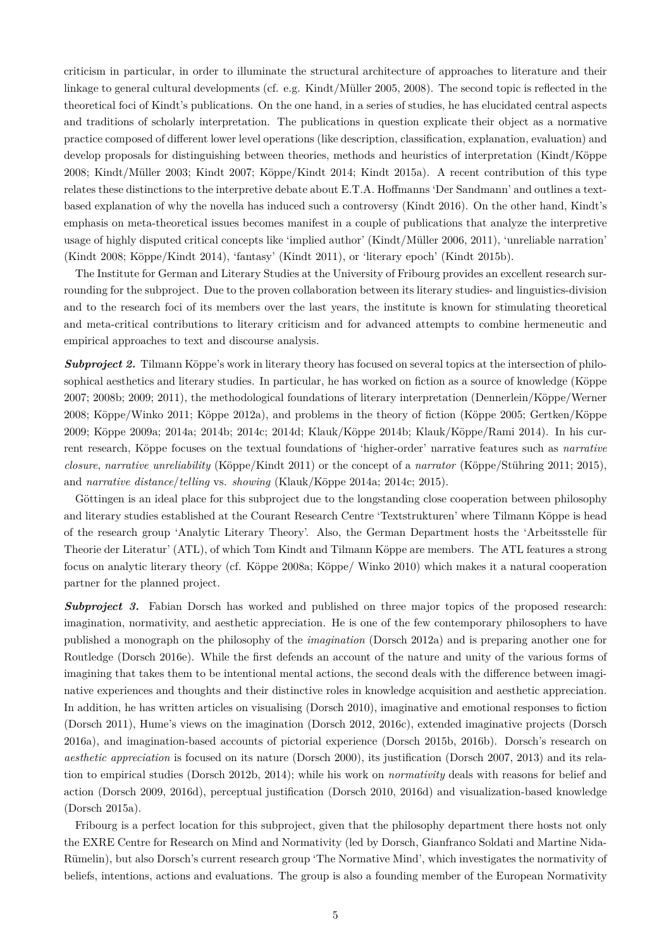criticism in particular, in order to illuminate the structural architecture of approaches to literature and their linkage to general cultural developments (cf. e.g. Kindt/Müller 2005, 2008). The second topic is reflected in the theoretical foci of Kindt's publications. On the one hand, in a series of studies, he has elucidated central aspects and traditions of scholarly interpretation. The publications in question explicate their object as a normative practice composed of different lower level operations (like description, classification, explanation, evaluation) and develop proposals for distinguishing between theories, methods and heuristics of interpretation (Kindt/Köppe 2008; Kindt/Müller 2003; Kindt 2007; Köppe/Kindt 2014; Kindt 2015a). A recent contribution of this type relates these distinctions to the interpretive debate about E.T.A. Hoffmanns 'Der Sandmann' and outlines a textbased explanation of why the novella has induced such a controversy (Kindt 2016). On the other hand, Kindt's emphasis on meta-theoretical issues becomes manifest in a couple of publications that analyze the interpretive usage of highly disputed critical concepts like 'implied author' (Kindt/Müller 2006, 2011), 'unreliable narration' (Kindt 2008; Köppe/Kindt 2014), 'fantasy' (Kindt 2011), or 'literary epoch' (Kindt 2015b).

The Institute for German and Literary Studies at the University of Fribourg provides an excellent research surrounding for the subproject. Due to the proven collaboration between its literary studies- and linguistics-division and to the research foci of its members over the last years, the institute is known for stimulating theoretical and meta-critical contributions to literary criticism and for advanced attempts to combine hermeneutic and empirical approaches to text and discourse analysis.

*Subproject 2.* Tilmann Köppe's work in literary theory has focused on several topics at the intersection of philosophical aesthetics and literary studies. In particular, he has worked on fiction as a source of knowledge (Köppe 2007; 2008b; 2009; 2011), the methodological foundations of literary interpretation (Dennerlein/Köppe/Werner 2008; Köppe/Winko 2011; Köppe 2012a), and problems in the theory of fiction (Köppe 2005; Gertken/Köppe 2009; Köppe 2009a; 2014a; 2014b; 2014c; 2014d; Klauk/Köppe 2014b; Klauk/Köppe/Rami 2014). In his current research, Köppe focuses on the textual foundations of 'higher-order' narrative features such as *narrative closure*, *narrative unreliability* (Köppe/Kindt 2011) or the concept of a *narrator* (Köppe/Stühring 2011; 2015), and *narrative distance*/*telling* vs. *showing* (Klauk/Köppe 2014a; 2014c; 2015).

Göttingen is an ideal place for this subproject due to the longstanding close cooperation between philosophy and literary studies established at the Courant Research Centre 'Textstrukturen' where Tilmann Köppe is head of the research group 'Analytic Literary Theory'. Also, the German Department hosts the 'Arbeitsstelle für Theorie der Literatur' (ATL), of which Tom Kindt and Tilmann Köppe are members. The ATL features a strong focus on analytic literary theory (cf. Köppe 2008a; Köppe/ Winko 2010) which makes it a natural cooperation partner for the planned project.

**Subproject 3.** Fabian Dorsch has worked and published on three major topics of the proposed research: imagination, normativity, and aesthetic appreciation. He is one of the few contemporary philosophers to have published a monograph on the philosophy of the *imagination* (Dorsch 2012a) and is preparing another one for Routledge (Dorsch 2016e). While the first defends an account of the nature and unity of the various forms of imagining that takes them to be intentional mental actions, the second deals with the difference between imaginative experiences and thoughts and their distinctive roles in knowledge acquisition and aesthetic appreciation. In addition, he has written articles on visualising (Dorsch 2010), imaginative and emotional responses to fiction (Dorsch 2011), Hume's views on the imagination (Dorsch 2012, 2016c), extended imaginative projects (Dorsch 2016a), and imagination-based accounts of pictorial experience (Dorsch 2015b, 2016b). Dorsch's research on *aesthetic appreciation* is focused on its nature (Dorsch 2000), its justification (Dorsch 2007, 2013) and its relation to empirical studies (Dorsch 2012b, 2014); while his work on *normativity* deals with reasons for belief and action (Dorsch 2009, 2016d), perceptual justification (Dorsch 2010, 2016d) and visualization-based knowledge (Dorsch 2015a).

Fribourg is a perfect location for this subproject, given that the philosophy department there hosts not only the EXRE Centre for Research on Mind and Normativity (led by Dorsch, Gianfranco Soldati and Martine Nida-Rümelin), but also Dorsch's current research group 'The Normative Mind', which investigates the normativity of beliefs, intentions, actions and evaluations. The group is also a founding member of the European Normativity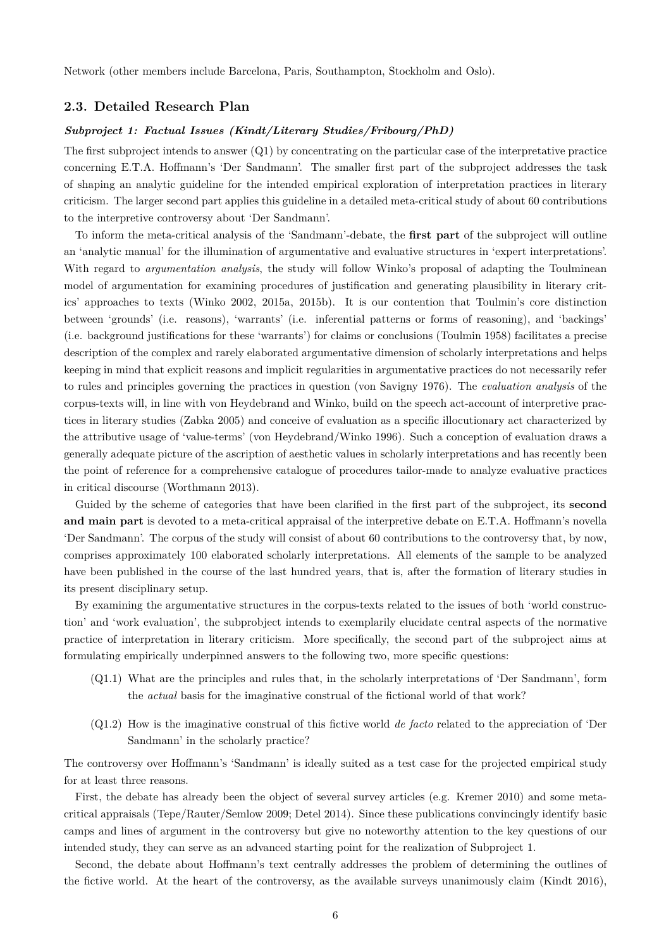Network (other members include Barcelona, Paris, Southampton, Stockholm and Oslo).

### **2.3. Detailed Research Plan**

## *Subproject 1: Factual Issues (Kindt/Literary Studies/Fribourg/PhD)*

The first subproject intends to answer  $(Q1)$  by concentrating on the particular case of the interpretative practice concerning E.T.A. Hoffmann's 'Der Sandmann'. The smaller first part of the subproject addresses the task of shaping an analytic guideline for the intended empirical exploration of interpretation practices in literary criticism. The larger second part applies this guideline in a detailed meta-critical study of about 60 contributions to the interpretive controversy about 'Der Sandmann'.

To inform the meta-critical analysis of the 'Sandmann'-debate, the **first part** of the subproject will outline an 'analytic manual' for the illumination of argumentative and evaluative structures in 'expert interpretations'. With regard to *argumentation analysis*, the study will follow Winko's proposal of adapting the Toulminean model of argumentation for examining procedures of justification and generating plausibility in literary critics' approaches to texts (Winko 2002, 2015a, 2015b). It is our contention that Toulmin's core distinction between 'grounds' (i.e. reasons), 'warrants' (i.e. inferential patterns or forms of reasoning), and 'backings' (i.e. background justifications for these 'warrants') for claims or conclusions (Toulmin 1958) facilitates a precise description of the complex and rarely elaborated argumentative dimension of scholarly interpretations and helps keeping in mind that explicit reasons and implicit regularities in argumentative practices do not necessarily refer to rules and principles governing the practices in question (von Savigny 1976). The *evaluation analysis* of the corpus-texts will, in line with von Heydebrand and Winko, build on the speech act-account of interpretive practices in literary studies (Zabka 2005) and conceive of evaluation as a specific illocutionary act characterized by the attributive usage of 'value-terms' (von Heydebrand/Winko 1996). Such a conception of evaluation draws a generally adequate picture of the ascription of aesthetic values in scholarly interpretations and has recently been the point of reference for a comprehensive catalogue of procedures tailor-made to analyze evaluative practices in critical discourse (Worthmann 2013).

Guided by the scheme of categories that have been clarified in the first part of the subproject, its **second and main part** is devoted to a meta-critical appraisal of the interpretive debate on E.T.A. Hoffmann's novella 'Der Sandmann'. The corpus of the study will consist of about 60 contributions to the controversy that, by now, comprises approximately 100 elaborated scholarly interpretations. All elements of the sample to be analyzed have been published in the course of the last hundred years, that is, after the formation of literary studies in its present disciplinary setup.

By examining the argumentative structures in the corpus-texts related to the issues of both 'world construction' and 'work evaluation', the subprobject intends to exemplarily elucidate central aspects of the normative practice of interpretation in literary criticism. More specifically, the second part of the subproject aims at formulating empirically underpinned answers to the following two, more specific questions:

- (Q1.1) What are the principles and rules that, in the scholarly interpretations of 'Der Sandmann', form the *actual* basis for the imaginative construal of the fictional world of that work?
- (Q1.2) How is the imaginative construal of this fictive world *de facto* related to the appreciation of 'Der Sandmann' in the scholarly practice?

The controversy over Hoffmann's 'Sandmann' is ideally suited as a test case for the projected empirical study for at least three reasons.

First, the debate has already been the object of several survey articles (e.g. Kremer 2010) and some metacritical appraisals (Tepe/Rauter/Semlow 2009; Detel 2014). Since these publications convincingly identify basic camps and lines of argument in the controversy but give no noteworthy attention to the key questions of our intended study, they can serve as an advanced starting point for the realization of Subproject 1.

Second, the debate about Hoffmann's text centrally addresses the problem of determining the outlines of the fictive world. At the heart of the controversy, as the available surveys unanimously claim (Kindt 2016),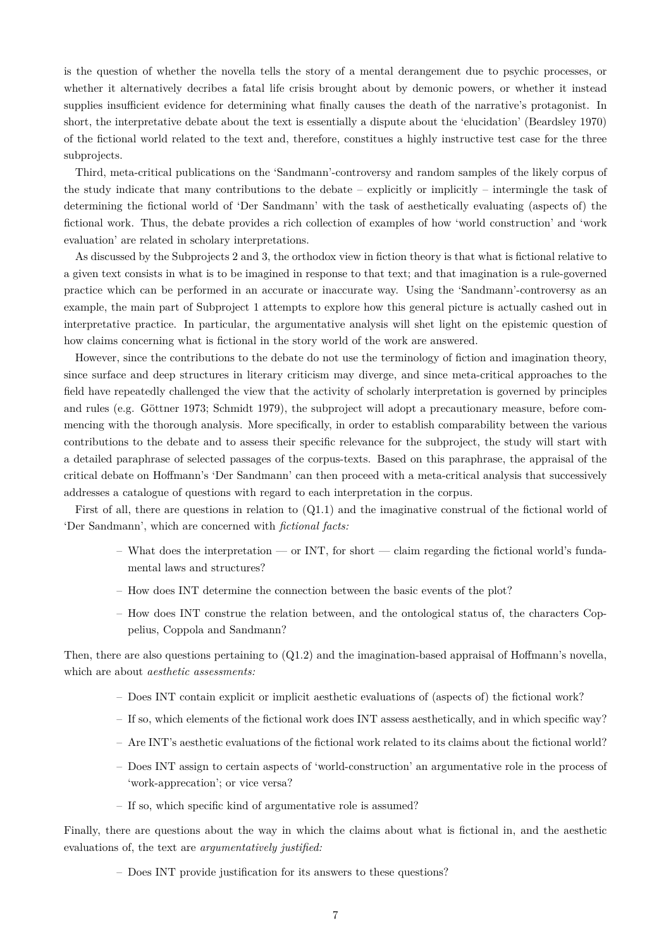is the question of whether the novella tells the story of a mental derangement due to psychic processes, or whether it alternatively decribes a fatal life crisis brought about by demonic powers, or whether it instead supplies insufficient evidence for determining what finally causes the death of the narrative's protagonist. In short, the interpretative debate about the text is essentially a dispute about the 'elucidation' (Beardsley 1970) of the fictional world related to the text and, therefore, constitues a highly instructive test case for the three subprojects.

Third, meta-critical publications on the 'Sandmann'-controversy and random samples of the likely corpus of the study indicate that many contributions to the debate – explicitly or implicitly – intermingle the task of determining the fictional world of 'Der Sandmann' with the task of aesthetically evaluating (aspects of) the fictional work. Thus, the debate provides a rich collection of examples of how 'world construction' and 'work evaluation' are related in scholary interpretations.

As discussed by the Subprojects 2 and 3, the orthodox view in fiction theory is that what is fictional relative to a given text consists in what is to be imagined in response to that text; and that imagination is a rule-governed practice which can be performed in an accurate or inaccurate way. Using the 'Sandmann'-controversy as an example, the main part of Subproject 1 attempts to explore how this general picture is actually cashed out in interpretative practice. In particular, the argumentative analysis will shet light on the epistemic question of how claims concerning what is fictional in the story world of the work are answered.

However, since the contributions to the debate do not use the terminology of fiction and imagination theory, since surface and deep structures in literary criticism may diverge, and since meta-critical approaches to the field have repeatedly challenged the view that the activity of scholarly interpretation is governed by principles and rules (e.g. Göttner 1973; Schmidt 1979), the subproject will adopt a precautionary measure, before commencing with the thorough analysis. More specifically, in order to establish comparability between the various contributions to the debate and to assess their specific relevance for the subproject, the study will start with a detailed paraphrase of selected passages of the corpus-texts. Based on this paraphrase, the appraisal of the critical debate on Hoffmann's 'Der Sandmann' can then proceed with a meta-critical analysis that successively addresses a catalogue of questions with regard to each interpretation in the corpus.

First of all, there are questions in relation to (Q1.1) and the imaginative construal of the fictional world of 'Der Sandmann', which are concerned with *fictional facts:*

- What does the interpretation or INT, for short claim regarding the fictional world's fundamental laws and structures?
- How does INT determine the connection between the basic events of the plot?
- How does INT construe the relation between, and the ontological status of, the characters Coppelius, Coppola and Sandmann?

Then, there are also questions pertaining to (Q1.2) and the imagination-based appraisal of Hoffmann's novella, which are about *aesthetic assessments:*

- Does INT contain explicit or implicit aesthetic evaluations of (aspects of) the fictional work?
- If so, which elements of the fictional work does INT assess aesthetically, and in which specific way?
- Are INT's aesthetic evaluations of the fictional work related to its claims about the fictional world?
- Does INT assign to certain aspects of 'world-construction' an argumentative role in the process of 'work-apprecation'; or vice versa?
- If so, which specific kind of argumentative role is assumed?

Finally, there are questions about the way in which the claims about what is fictional in, and the aesthetic evaluations of, the text are *argumentatively justified:*

– Does INT provide justification for its answers to these questions?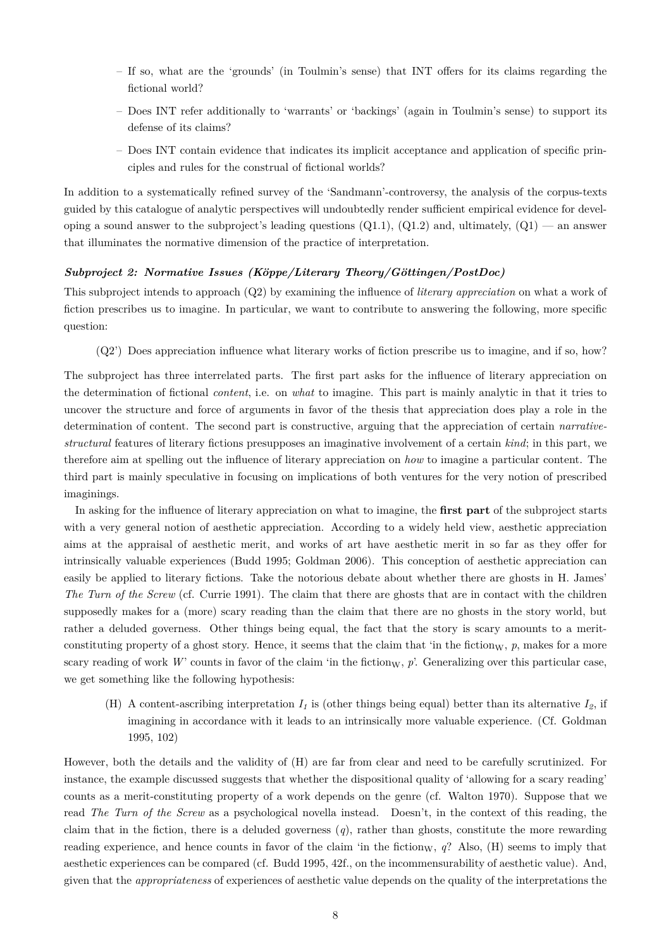- If so, what are the 'grounds' (in Toulmin's sense) that INT offers for its claims regarding the fictional world?
- Does INT refer additionally to 'warrants' or 'backings' (again in Toulmin's sense) to support its defense of its claims?
- Does INT contain evidence that indicates its implicit acceptance and application of specific principles and rules for the construal of fictional worlds?

In addition to a systematically refined survey of the 'Sandmann'-controversy, the analysis of the corpus-texts guided by this catalogue of analytic perspectives will undoubtedly render sufficient empirical evidence for developing a sound answer to the subproject's leading questions  $(Q1.1)$ ,  $(Q1.2)$  and, ultimately,  $(Q1)$  — an answer that illuminates the normative dimension of the practice of interpretation.

#### *Subproject 2: Normative Issues (Köppe/Literary Theory/Göttingen/PostDoc)*

This subproject intends to approach (Q2) by examining the influence of *literary appreciation* on what a work of fiction prescribes us to imagine. In particular, we want to contribute to answering the following, more specific question:

(Q2') Does appreciation influence what literary works of fiction prescribe us to imagine, and if so, how?

The subproject has three interrelated parts. The first part asks for the influence of literary appreciation on the determination of fictional *content*, i.e. on *what* to imagine. This part is mainly analytic in that it tries to uncover the structure and force of arguments in favor of the thesis that appreciation does play a role in the determination of content. The second part is constructive, arguing that the appreciation of certain *narrativestructural* features of literary fictions presupposes an imaginative involvement of a certain *kind*; in this part, we therefore aim at spelling out the influence of literary appreciation on *how* to imagine a particular content. The third part is mainly speculative in focusing on implications of both ventures for the very notion of prescribed imaginings.

In asking for the influence of literary appreciation on what to imagine, the **first part** of the subproject starts with a very general notion of aesthetic appreciation. According to a widely held view, aesthetic appreciation aims at the appraisal of aesthetic merit, and works of art have aesthetic merit in so far as they offer for intrinsically valuable experiences (Budd 1995; Goldman 2006). This conception of aesthetic appreciation can easily be applied to literary fictions. Take the notorious debate about whether there are ghosts in H. James' *The Turn of the Screw* (cf. Currie 1991). The claim that there are ghosts that are in contact with the children supposedly makes for a (more) scary reading than the claim that there are no ghosts in the story world, but rather a deluded governess. Other things being equal, the fact that the story is scary amounts to a meritconstituting property of a ghost story. Hence, it seems that the claim that 'in the fiction $\mathbf{w}$ ,  $p$ , makes for a more scary reading of work W' counts in favor of the claim 'in the fiction<sub>W</sub>,  $p$ '. Generalizing over this particular case, we get something like the following hypothesis:

(H) A content-ascribing interpretation  $I<sub>I</sub>$  is (other things being equal) better than its alternative  $I<sub>2</sub>$ , if imagining in accordance with it leads to an intrinsically more valuable experience. (Cf. Goldman 1995, 102)

However, both the details and the validity of (H) are far from clear and need to be carefully scrutinized. For instance, the example discussed suggests that whether the dispositional quality of 'allowing for a scary reading' counts as a merit-constituting property of a work depends on the genre (cf. Walton 1970). Suppose that we read *The Turn of the Screw* as a psychological novella instead. Doesn't, in the context of this reading, the claim that in the fiction, there is a deluded governess (*q*), rather than ghosts, constitute the more rewarding reading experience, and hence counts in favor of the claim 'in the fiction $_{\rm W}$ ,  $_{q}$ ? Also, (H) seems to imply that aesthetic experiences can be compared (cf. Budd 1995, 42f., on the incommensurability of aesthetic value). And, given that the *appropriateness* of experiences of aesthetic value depends on the quality of the interpretations the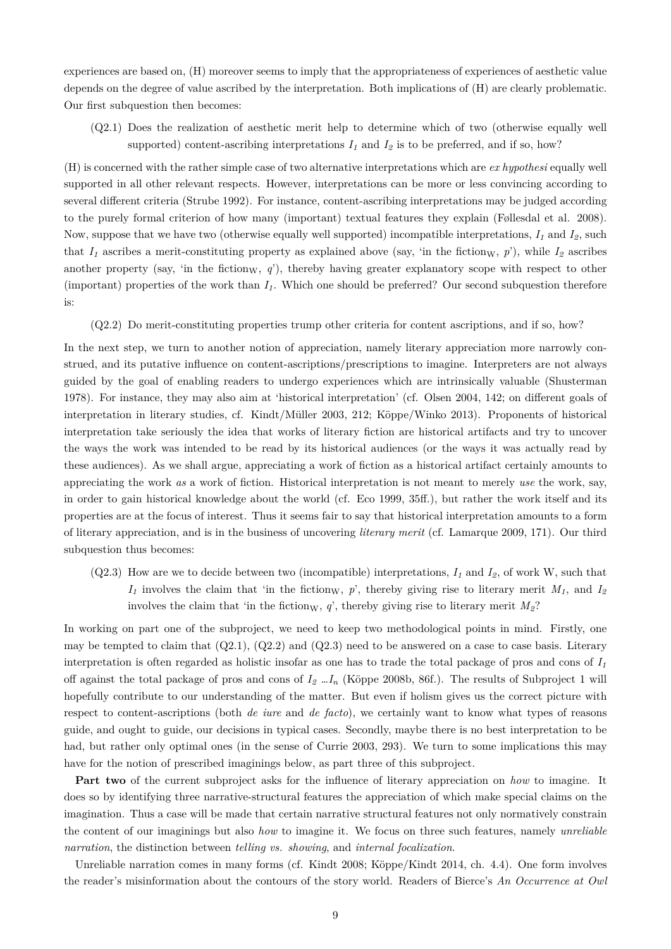experiences are based on, (H) moreover seems to imply that the appropriateness of experiences of aesthetic value depends on the degree of value ascribed by the interpretation. Both implications of (H) are clearly problematic. Our first subquestion then becomes:

(Q2.1) Does the realization of aesthetic merit help to determine which of two (otherwise equally well supported) content-ascribing interpretations  $I_1$  and  $I_2$  is to be preferred, and if so, how?

(H) is concerned with the rather simple case of two alternative interpretations which are *ex hypothesi* equally well supported in all other relevant respects. However, interpretations can be more or less convincing according to several different criteria (Strube 1992). For instance, content-ascribing interpretations may be judged according to the purely formal criterion of how many (important) textual features they explain (Føllesdal et al. 2008). Now, suppose that we have two (otherwise equally well supported) incompatible interpretations, *I<sup>1</sup>* and *I2*, such that  $I_1$  ascribes a merit-constituting property as explained above (say, 'in the fiction<sub>W</sub>, *p*'), while  $I_2$  ascribes another property (say, 'in the fiction<sub>W</sub>,  $q'$ ), thereby having greater explanatory scope with respect to other (important) properties of the work than *I1*. Which one should be preferred? Our second subquestion therefore is:

(Q2.2) Do merit-constituting properties trump other criteria for content ascriptions, and if so, how?

In the next step, we turn to another notion of appreciation, namely literary appreciation more narrowly construed, and its putative influence on content-ascriptions/prescriptions to imagine. Interpreters are not always guided by the goal of enabling readers to undergo experiences which are intrinsically valuable (Shusterman 1978). For instance, they may also aim at 'historical interpretation' (cf. Olsen 2004, 142; on different goals of interpretation in literary studies, cf. Kindt/Müller 2003, 212; Köppe/Winko 2013). Proponents of historical interpretation take seriously the idea that works of literary fiction are historical artifacts and try to uncover the ways the work was intended to be read by its historical audiences (or the ways it was actually read by these audiences). As we shall argue, appreciating a work of fiction as a historical artifact certainly amounts to appreciating the work *as* a work of fiction. Historical interpretation is not meant to merely *use* the work, say, in order to gain historical knowledge about the world (cf. Eco 1999, 35ff.), but rather the work itself and its properties are at the focus of interest. Thus it seems fair to say that historical interpretation amounts to a form of literary appreciation, and is in the business of uncovering *literary merit* (cf. Lamarque 2009, 171). Our third subquestion thus becomes:

 $(Q2.3)$  How are we to decide between two (incompatible) interpretations,  $I_1$  and  $I_2$ , of work W, such that  $I_1$  involves the claim that 'in the fiction<sub>W</sub>, *p*', thereby giving rise to literary merit  $M_1$ , and  $I_2$ involves the claim that 'in the fiction<sub>W</sub>,  $q$ ', thereby giving rise to literary merit  $M_2$ ?

In working on part one of the subproject, we need to keep two methodological points in mind. Firstly, one may be tempted to claim that  $(Q2.1)$ ,  $(Q2.2)$  and  $(Q2.3)$  need to be answered on a case to case basis. Literary interpretation is often regarded as holistic insofar as one has to trade the total package of pros and cons of  $I<sub>I</sub>$ off against the total package of pros and cons of *I<sup>2</sup>* …*I<sup>n</sup>* (Köppe 2008b, 86f.). The results of Subproject 1 will hopefully contribute to our understanding of the matter. But even if holism gives us the correct picture with respect to content-ascriptions (both *de iure* and *de facto*), we certainly want to know what types of reasons guide, and ought to guide, our decisions in typical cases. Secondly, maybe there is no best interpretation to be had, but rather only optimal ones (in the sense of Currie 2003, 293). We turn to some implications this may have for the notion of prescribed imaginings below, as part three of this subproject.

**Part two** of the current subproject asks for the influence of literary appreciation on *how* to imagine. It does so by identifying three narrative-structural features the appreciation of which make special claims on the imagination. Thus a case will be made that certain narrative structural features not only normatively constrain the content of our imaginings but also *how* to imagine it. We focus on three such features, namely *unreliable narration*, the distinction between *telling vs. showing*, and *internal focalization*.

Unreliable narration comes in many forms (cf. Kindt 2008; Köppe/Kindt 2014, ch. 4.4). One form involves the reader's misinformation about the contours of the story world. Readers of Bierce's *An Occurrence at Owl*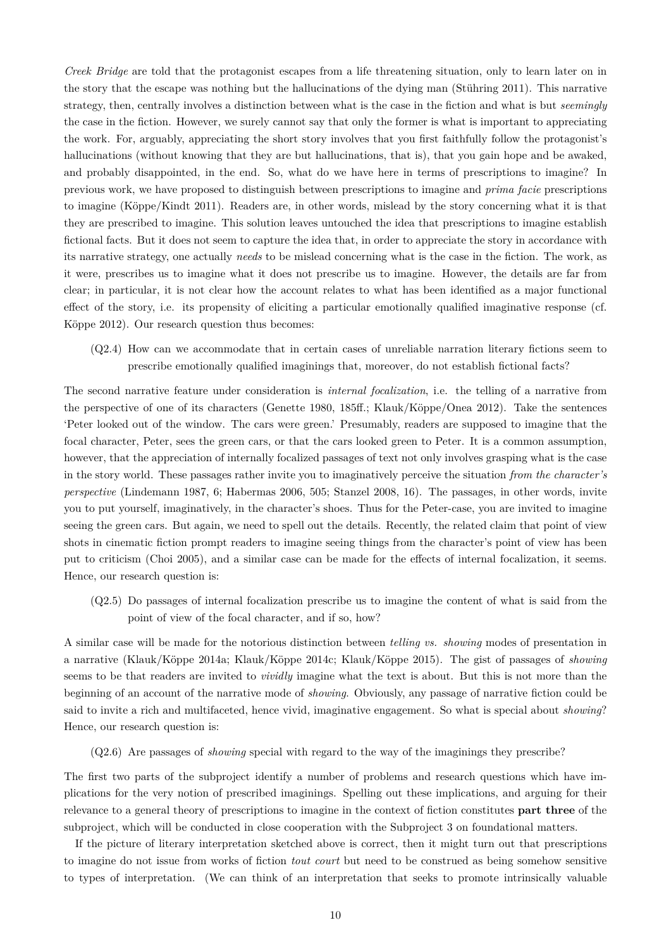*Creek Bridge* are told that the protagonist escapes from a life threatening situation, only to learn later on in the story that the escape was nothing but the hallucinations of the dying man (Stühring 2011). This narrative strategy, then, centrally involves a distinction between what is the case in the fiction and what is but *seemingly* the case in the fiction. However, we surely cannot say that only the former is what is important to appreciating the work. For, arguably, appreciating the short story involves that you first faithfully follow the protagonist's hallucinations (without knowing that they are but hallucinations, that is), that you gain hope and be awaked, and probably disappointed, in the end. So, what do we have here in terms of prescriptions to imagine? In previous work, we have proposed to distinguish between prescriptions to imagine and *prima facie* prescriptions to imagine (Köppe/Kindt 2011). Readers are, in other words, mislead by the story concerning what it is that they are prescribed to imagine. This solution leaves untouched the idea that prescriptions to imagine establish fictional facts. But it does not seem to capture the idea that, in order to appreciate the story in accordance with its narrative strategy, one actually *needs* to be mislead concerning what is the case in the fiction. The work, as it were, prescribes us to imagine what it does not prescribe us to imagine. However, the details are far from clear; in particular, it is not clear how the account relates to what has been identified as a major functional effect of the story, i.e. its propensity of eliciting a particular emotionally qualified imaginative response (cf. Köppe 2012). Our research question thus becomes:

(Q2.4) How can we accommodate that in certain cases of unreliable narration literary fictions seem to prescribe emotionally qualified imaginings that, moreover, do not establish fictional facts?

The second narrative feature under consideration is *internal focalization*, i.e. the telling of a narrative from the perspective of one of its characters (Genette 1980, 185ff.; Klauk/Köppe/Onea 2012). Take the sentences 'Peter looked out of the window. The cars were green.' Presumably, readers are supposed to imagine that the focal character, Peter, sees the green cars, or that the cars looked green to Peter. It is a common assumption, however, that the appreciation of internally focalized passages of text not only involves grasping what is the case in the story world. These passages rather invite you to imaginatively perceive the situation *from the character's perspective* (Lindemann 1987, 6; Habermas 2006, 505; Stanzel 2008, 16). The passages, in other words, invite you to put yourself, imaginatively, in the character's shoes. Thus for the Peter-case, you are invited to imagine seeing the green cars. But again, we need to spell out the details. Recently, the related claim that point of view shots in cinematic fiction prompt readers to imagine seeing things from the character's point of view has been put to criticism (Choi 2005), and a similar case can be made for the effects of internal focalization, it seems. Hence, our research question is:

(Q2.5) Do passages of internal focalization prescribe us to imagine the content of what is said from the point of view of the focal character, and if so, how?

A similar case will be made for the notorious distinction between *telling vs. showing* modes of presentation in a narrative (Klauk/Köppe 2014a; Klauk/Köppe 2014c; Klauk/Köppe 2015). The gist of passages of *showing* seems to be that readers are invited to *vividly* imagine what the text is about. But this is not more than the beginning of an account of the narrative mode of *showing*. Obviously, any passage of narrative fiction could be said to invite a rich and multifaceted, hence vivid, imaginative engagement. So what is special about *showing*? Hence, our research question is:

(Q2.6) Are passages of *showing* special with regard to the way of the imaginings they prescribe?

The first two parts of the subproject identify a number of problems and research questions which have implications for the very notion of prescribed imaginings. Spelling out these implications, and arguing for their relevance to a general theory of prescriptions to imagine in the context of fiction constitutes **part three** of the subproject, which will be conducted in close cooperation with the Subproject 3 on foundational matters.

If the picture of literary interpretation sketched above is correct, then it might turn out that prescriptions to imagine do not issue from works of fiction *tout court* but need to be construed as being somehow sensitive to types of interpretation. (We can think of an interpretation that seeks to promote intrinsically valuable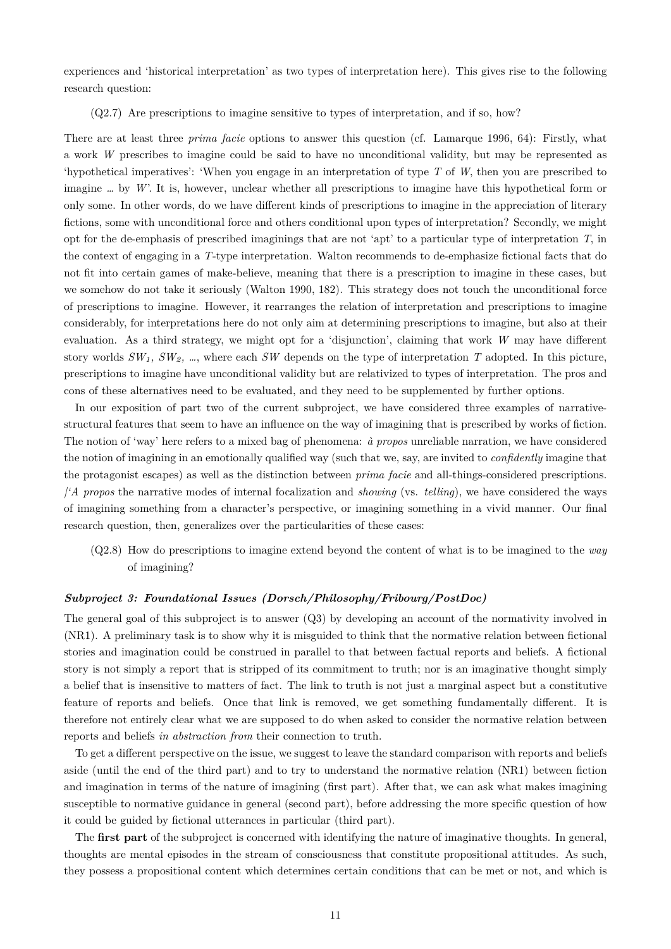experiences and 'historical interpretation' as two types of interpretation here). This gives rise to the following research question:

(Q2.7) Are prescriptions to imagine sensitive to types of interpretation, and if so, how?

There are at least three *prima facie* options to answer this question (cf. Lamarque 1996, 64): Firstly, what a work *W* prescribes to imagine could be said to have no unconditional validity, but may be represented as 'hypothetical imperatives': 'When you engage in an interpretation of type *T* of *W*, then you are prescribed to imagine *…* by *W*'. It is, however, unclear whether all prescriptions to imagine have this hypothetical form or only some. In other words, do we have different kinds of prescriptions to imagine in the appreciation of literary fictions, some with unconditional force and others conditional upon types of interpretation? Secondly, we might opt for the de-emphasis of prescribed imaginings that are not 'apt' to a particular type of interpretation *T*, in the context of engaging in a *T*-type interpretation. Walton recommends to de-emphasize fictional facts that do not fit into certain games of make-believe, meaning that there is a prescription to imagine in these cases, but we somehow do not take it seriously (Walton 1990, 182). This strategy does not touch the unconditional force of prescriptions to imagine. However, it rearranges the relation of interpretation and prescriptions to imagine considerably, for interpretations here do not only aim at determining prescriptions to imagine, but also at their evaluation. As a third strategy, we might opt for a 'disjunction', claiming that work *W* may have different story worlds *SW1, SW2, …*, where each *SW* depends on the type of interpretation *T* adopted. In this picture, prescriptions to imagine have unconditional validity but are relativized to types of interpretation. The pros and cons of these alternatives need to be evaluated, and they need to be supplemented by further options.

In our exposition of part two of the current subproject, we have considered three examples of narrativestructural features that seem to have an influence on the way of imagining that is prescribed by works of fiction. The notion of 'way' here refers to a mixed bag of phenomena: *à propos* unreliable narration, we have considered the notion of imagining in an emotionally qualified way (such that we, say, are invited to *confidently* imagine that the protagonist escapes) as well as the distinction between *prima facie* and all-things-considered prescriptions. *|'A propos* the narrative modes of internal focalization and *showing* (vs. *telling*), we have considered the ways of imagining something from a character's perspective, or imagining something in a vivid manner. Our final research question, then, generalizes over the particularities of these cases:

(Q2.8) How do prescriptions to imagine extend beyond the content of what is to be imagined to the *way* of imagining?

## *Subproject 3: Foundational Issues (Dorsch/Philosophy/Fribourg/PostDoc)*

The general goal of this subproject is to answer (Q3) by developing an account of the normativity involved in (NR1). A preliminary task is to show why it is misguided to think that the normative relation between fictional stories and imagination could be construed in parallel to that between factual reports and beliefs. A fictional story is not simply a report that is stripped of its commitment to truth; nor is an imaginative thought simply a belief that is insensitive to matters of fact. The link to truth is not just a marginal aspect but a constitutive feature of reports and beliefs. Once that link is removed, we get something fundamentally different. It is therefore not entirely clear what we are supposed to do when asked to consider the normative relation between reports and beliefs *in abstraction from* their connection to truth.

To get a different perspective on the issue, we suggest to leave the standard comparison with reports and beliefs aside (until the end of the third part) and to try to understand the normative relation (NR1) between fiction and imagination in terms of the nature of imagining (first part). After that, we can ask what makes imagining susceptible to normative guidance in general (second part), before addressing the more specific question of how it could be guided by fictional utterances in particular (third part).

The **first part** of the subproject is concerned with identifying the nature of imaginative thoughts. In general, thoughts are mental episodes in the stream of consciousness that constitute propositional attitudes. As such, they possess a propositional content which determines certain conditions that can be met or not, and which is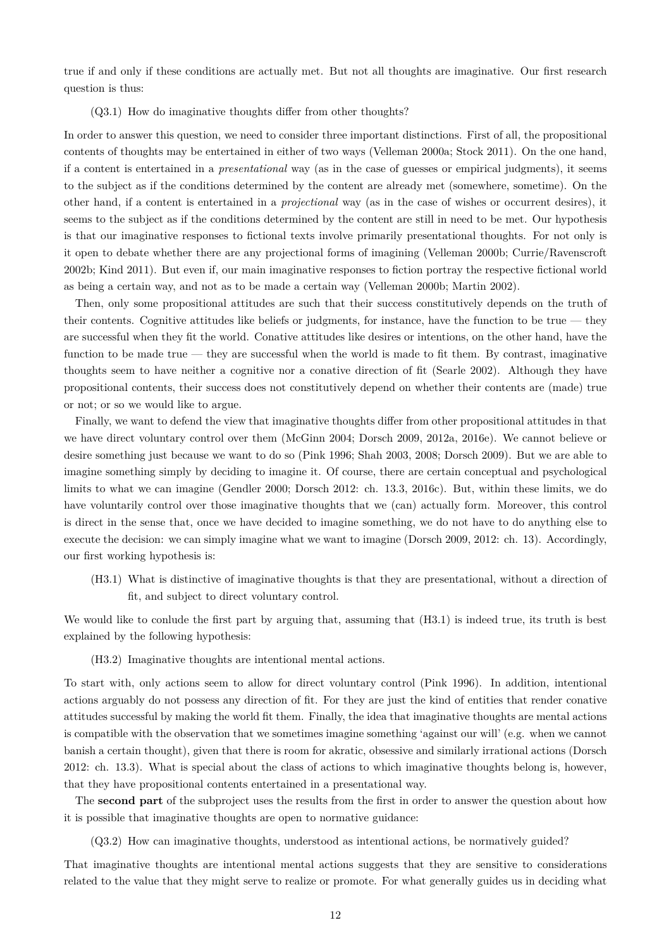true if and only if these conditions are actually met. But not all thoughts are imaginative. Our first research question is thus:

#### (Q3.1) How do imaginative thoughts differ from other thoughts?

In order to answer this question, we need to consider three important distinctions. First of all, the propositional contents of thoughts may be entertained in either of two ways (Velleman 2000a; Stock 2011). On the one hand, if a content is entertained in a *presentational* way (as in the case of guesses or empirical judgments), it seems to the subject as if the conditions determined by the content are already met (somewhere, sometime). On the other hand, if a content is entertained in a *projectional* way (as in the case of wishes or occurrent desires), it seems to the subject as if the conditions determined by the content are still in need to be met. Our hypothesis is that our imaginative responses to fictional texts involve primarily presentational thoughts. For not only is it open to debate whether there are any projectional forms of imagining (Velleman 2000b; Currie/Ravenscroft 2002b; Kind 2011). But even if, our main imaginative responses to fiction portray the respective fictional world as being a certain way, and not as to be made a certain way (Velleman 2000b; Martin 2002).

Then, only some propositional attitudes are such that their success constitutively depends on the truth of their contents. Cognitive attitudes like beliefs or judgments, for instance, have the function to be true — they are successful when they fit the world. Conative attitudes like desires or intentions, on the other hand, have the function to be made true — they are successful when the world is made to fit them. By contrast, imaginative thoughts seem to have neither a cognitive nor a conative direction of fit (Searle 2002). Although they have propositional contents, their success does not constitutively depend on whether their contents are (made) true or not; or so we would like to argue.

Finally, we want to defend the view that imaginative thoughts differ from other propositional attitudes in that we have direct voluntary control over them (McGinn 2004; Dorsch 2009, 2012a, 2016e). We cannot believe or desire something just because we want to do so (Pink 1996; Shah 2003, 2008; Dorsch 2009). But we are able to imagine something simply by deciding to imagine it. Of course, there are certain conceptual and psychological limits to what we can imagine (Gendler 2000; Dorsch 2012: ch. 13.3, 2016c). But, within these limits, we do have voluntarily control over those imaginative thoughts that we (can) actually form. Moreover, this control is direct in the sense that, once we have decided to imagine something, we do not have to do anything else to execute the decision: we can simply imagine what we want to imagine (Dorsch 2009, 2012: ch. 13). Accordingly, our first working hypothesis is:

(H3.1) What is distinctive of imaginative thoughts is that they are presentational, without a direction of fit, and subject to direct voluntary control.

We would like to conlude the first part by arguing that, assuming that  $(H3.1)$  is indeed true, its truth is best explained by the following hypothesis:

(H3.2) Imaginative thoughts are intentional mental actions.

To start with, only actions seem to allow for direct voluntary control (Pink 1996). In addition, intentional actions arguably do not possess any direction of fit. For they are just the kind of entities that render conative attitudes successful by making the world fit them. Finally, the idea that imaginative thoughts are mental actions is compatible with the observation that we sometimes imagine something 'against our will' (e.g. when we cannot banish a certain thought), given that there is room for akratic, obsessive and similarly irrational actions (Dorsch 2012: ch. 13.3). What is special about the class of actions to which imaginative thoughts belong is, however, that they have propositional contents entertained in a presentational way.

The **second part** of the subproject uses the results from the first in order to answer the question about how it is possible that imaginative thoughts are open to normative guidance:

(Q3.2) How can imaginative thoughts, understood as intentional actions, be normatively guided?

That imaginative thoughts are intentional mental actions suggests that they are sensitive to considerations related to the value that they might serve to realize or promote. For what generally guides us in deciding what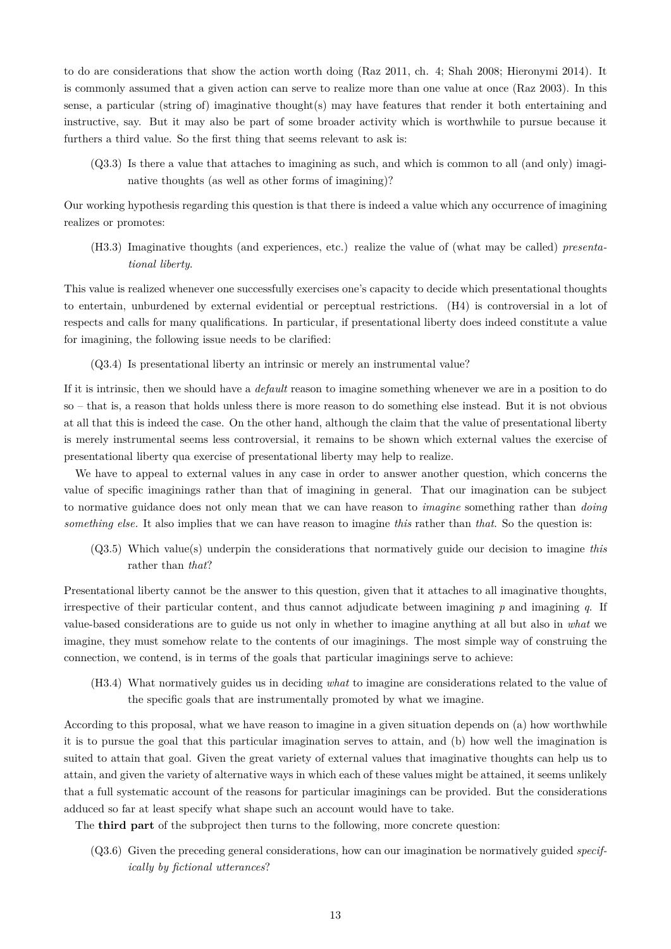to do are considerations that show the action worth doing (Raz 2011, ch. 4; Shah 2008; Hieronymi 2014). It is commonly assumed that a given action can serve to realize more than one value at once (Raz 2003). In this sense, a particular (string of) imaginative thought(s) may have features that render it both entertaining and instructive, say. But it may also be part of some broader activity which is worthwhile to pursue because it furthers a third value. So the first thing that seems relevant to ask is:

(Q3.3) Is there a value that attaches to imagining as such, and which is common to all (and only) imaginative thoughts (as well as other forms of imagining)?

Our working hypothesis regarding this question is that there is indeed a value which any occurrence of imagining realizes or promotes:

(H3.3) Imaginative thoughts (and experiences, etc.) realize the value of (what may be called) *presentational liberty*.

This value is realized whenever one successfully exercises one's capacity to decide which presentational thoughts to entertain, unburdened by external evidential or perceptual restrictions. (H4) is controversial in a lot of respects and calls for many qualifications. In particular, if presentational liberty does indeed constitute a value for imagining, the following issue needs to be clarified:

(Q3.4) Is presentational liberty an intrinsic or merely an instrumental value?

If it is intrinsic, then we should have a *default* reason to imagine something whenever we are in a position to do so – that is, a reason that holds unless there is more reason to do something else instead. But it is not obvious at all that this is indeed the case. On the other hand, although the claim that the value of presentational liberty is merely instrumental seems less controversial, it remains to be shown which external values the exercise of presentational liberty qua exercise of presentational liberty may help to realize.

We have to appeal to external values in any case in order to answer another question, which concerns the value of specific imaginings rather than that of imagining in general. That our imagination can be subject to normative guidance does not only mean that we can have reason to *imagine* something rather than *doing something else.* It also implies that we can have reason to imagine *this* rather than *that*. So the question is:

(Q3.5) Which value(s) underpin the considerations that normatively guide our decision to imagine *this* rather than *that*?

Presentational liberty cannot be the answer to this question, given that it attaches to all imaginative thoughts, irrespective of their particular content, and thus cannot adjudicate between imagining *p* and imagining *q*. If value-based considerations are to guide us not only in whether to imagine anything at all but also in *what* we imagine, they must somehow relate to the contents of our imaginings. The most simple way of construing the connection, we contend, is in terms of the goals that particular imaginings serve to achieve:

(H3.4) What normatively guides us in deciding *what* to imagine are considerations related to the value of the specific goals that are instrumentally promoted by what we imagine.

According to this proposal, what we have reason to imagine in a given situation depends on (a) how worthwhile it is to pursue the goal that this particular imagination serves to attain, and (b) how well the imagination is suited to attain that goal. Given the great variety of external values that imaginative thoughts can help us to attain, and given the variety of alternative ways in which each of these values might be attained, it seems unlikely that a full systematic account of the reasons for particular imaginings can be provided. But the considerations adduced so far at least specify what shape such an account would have to take.

The **third part** of the subproject then turns to the following, more concrete question:

(Q3.6) Given the preceding general considerations, how can our imagination be normatively guided *specifically by fictional utterances*?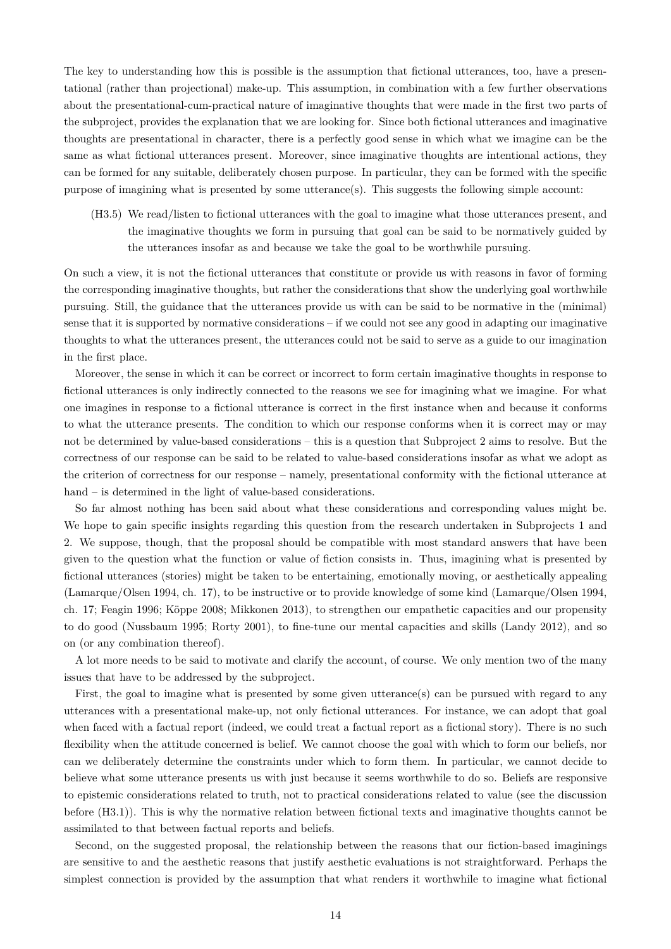The key to understanding how this is possible is the assumption that fictional utterances, too, have a presentational (rather than projectional) make-up. This assumption, in combination with a few further observations about the presentational-cum-practical nature of imaginative thoughts that were made in the first two parts of the subproject, provides the explanation that we are looking for. Since both fictional utterances and imaginative thoughts are presentational in character, there is a perfectly good sense in which what we imagine can be the same as what fictional utterances present. Moreover, since imaginative thoughts are intentional actions, they can be formed for any suitable, deliberately chosen purpose. In particular, they can be formed with the specific purpose of imagining what is presented by some utterance(s). This suggests the following simple account:

(H3.5) We read/listen to fictional utterances with the goal to imagine what those utterances present, and the imaginative thoughts we form in pursuing that goal can be said to be normatively guided by the utterances insofar as and because we take the goal to be worthwhile pursuing.

On such a view, it is not the fictional utterances that constitute or provide us with reasons in favor of forming the corresponding imaginative thoughts, but rather the considerations that show the underlying goal worthwhile pursuing. Still, the guidance that the utterances provide us with can be said to be normative in the (minimal) sense that it is supported by normative considerations – if we could not see any good in adapting our imaginative thoughts to what the utterances present, the utterances could not be said to serve as a guide to our imagination in the first place.

Moreover, the sense in which it can be correct or incorrect to form certain imaginative thoughts in response to fictional utterances is only indirectly connected to the reasons we see for imagining what we imagine. For what one imagines in response to a fictional utterance is correct in the first instance when and because it conforms to what the utterance presents. The condition to which our response conforms when it is correct may or may not be determined by value-based considerations – this is a question that Subproject 2 aims to resolve. But the correctness of our response can be said to be related to value-based considerations insofar as what we adopt as the criterion of correctness for our response – namely, presentational conformity with the fictional utterance at hand – is determined in the light of value-based considerations.

So far almost nothing has been said about what these considerations and corresponding values might be. We hope to gain specific insights regarding this question from the research undertaken in Subprojects 1 and 2. We suppose, though, that the proposal should be compatible with most standard answers that have been given to the question what the function or value of fiction consists in. Thus, imagining what is presented by fictional utterances (stories) might be taken to be entertaining, emotionally moving, or aesthetically appealing (Lamarque/Olsen 1994, ch. 17), to be instructive or to provide knowledge of some kind (Lamarque/Olsen 1994, ch. 17; Feagin 1996; Köppe 2008; Mikkonen 2013), to strengthen our empathetic capacities and our propensity to do good (Nussbaum 1995; Rorty 2001), to fine-tune our mental capacities and skills (Landy 2012), and so on (or any combination thereof).

A lot more needs to be said to motivate and clarify the account, of course. We only mention two of the many issues that have to be addressed by the subproject.

First, the goal to imagine what is presented by some given utterance(s) can be pursued with regard to any utterances with a presentational make-up, not only fictional utterances. For instance, we can adopt that goal when faced with a factual report (indeed, we could treat a factual report as a fictional story). There is no such flexibility when the attitude concerned is belief. We cannot choose the goal with which to form our beliefs, nor can we deliberately determine the constraints under which to form them. In particular, we cannot decide to believe what some utterance presents us with just because it seems worthwhile to do so. Beliefs are responsive to epistemic considerations related to truth, not to practical considerations related to value (see the discussion before (H3.1)). This is why the normative relation between fictional texts and imaginative thoughts cannot be assimilated to that between factual reports and beliefs.

Second, on the suggested proposal, the relationship between the reasons that our fiction-based imaginings are sensitive to and the aesthetic reasons that justify aesthetic evaluations is not straightforward. Perhaps the simplest connection is provided by the assumption that what renders it worthwhile to imagine what fictional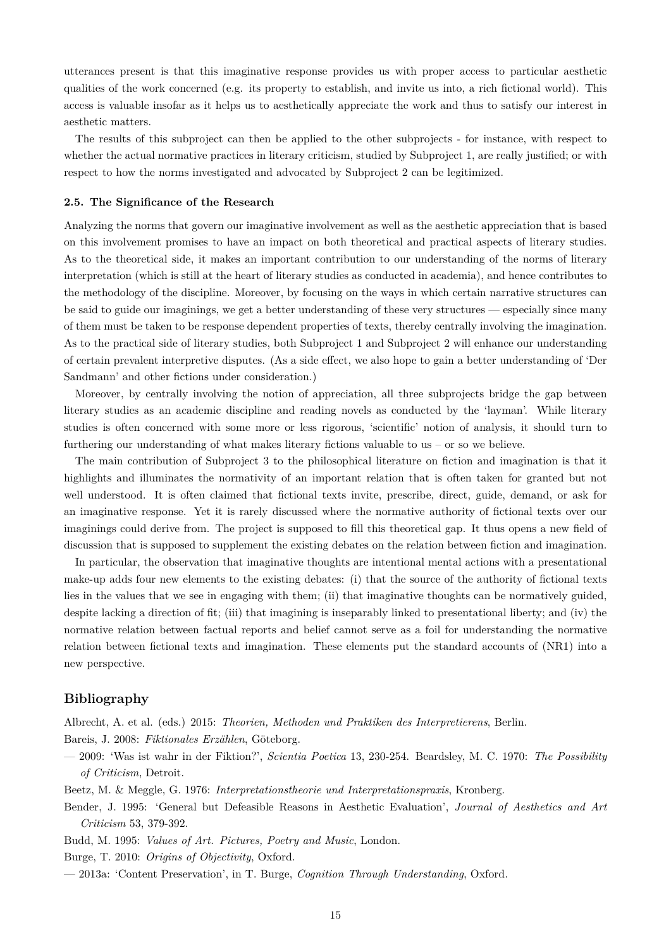utterances present is that this imaginative response provides us with proper access to particular aesthetic qualities of the work concerned (e.g. its property to establish, and invite us into, a rich fictional world). This access is valuable insofar as it helps us to aesthetically appreciate the work and thus to satisfy our interest in aesthetic matters.

The results of this subproject can then be applied to the other subprojects - for instance, with respect to whether the actual normative practices in literary criticism, studied by Subproject 1, are really justified; or with respect to how the norms investigated and advocated by Subproject 2 can be legitimized.

#### **2.5. The Significance of the Research**

Analyzing the norms that govern our imaginative involvement as well as the aesthetic appreciation that is based on this involvement promises to have an impact on both theoretical and practical aspects of literary studies. As to the theoretical side, it makes an important contribution to our understanding of the norms of literary interpretation (which is still at the heart of literary studies as conducted in academia), and hence contributes to the methodology of the discipline. Moreover, by focusing on the ways in which certain narrative structures can be said to guide our imaginings, we get a better understanding of these very structures — especially since many of them must be taken to be response dependent properties of texts, thereby centrally involving the imagination. As to the practical side of literary studies, both Subproject 1 and Subproject 2 will enhance our understanding of certain prevalent interpretive disputes. (As a side effect, we also hope to gain a better understanding of 'Der Sandmann' and other fictions under consideration.)

Moreover, by centrally involving the notion of appreciation, all three subprojects bridge the gap between literary studies as an academic discipline and reading novels as conducted by the 'layman'. While literary studies is often concerned with some more or less rigorous, 'scientific' notion of analysis, it should turn to furthering our understanding of what makes literary fictions valuable to us – or so we believe.

The main contribution of Subproject 3 to the philosophical literature on fiction and imagination is that it highlights and illuminates the normativity of an important relation that is often taken for granted but not well understood. It is often claimed that fictional texts invite, prescribe, direct, guide, demand, or ask for an imaginative response. Yet it is rarely discussed where the normative authority of fictional texts over our imaginings could derive from. The project is supposed to fill this theoretical gap. It thus opens a new field of discussion that is supposed to supplement the existing debates on the relation between fiction and imagination.

In particular, the observation that imaginative thoughts are intentional mental actions with a presentational make-up adds four new elements to the existing debates: (i) that the source of the authority of fictional texts lies in the values that we see in engaging with them; (ii) that imaginative thoughts can be normatively guided, despite lacking a direction of fit; (iii) that imagining is inseparably linked to presentational liberty; and (iv) the normative relation between factual reports and belief cannot serve as a foil for understanding the normative relation between fictional texts and imagination. These elements put the standard accounts of (NR1) into a new perspective.

## **Bibliography**

Albrecht, A. et al. (eds.) 2015: *Theorien, Methoden und Praktiken des Interpretierens*, Berlin.

Bareis, J. 2008: *Fiktionales Erzählen*, Göteborg.

— 2009: 'Was ist wahr in der Fiktion?', *Scientia Poetica* 13, 230-254. Beardsley, M. C. 1970: *The Possibility of Criticism*, Detroit.

Beetz, M. & Meggle, G. 1976: *Interpretationstheorie und Interpretationspraxis*, Kronberg.

Bender, J. 1995: 'General but Defeasible Reasons in Aesthetic Evaluation', *Journal of Aesthetics and Art Criticism* 53, 379-392.

Budd, M. 1995: *Values of Art. Pictures, Poetry and Music*, London.

Burge, T. 2010: *Origins of Objectivity*, Oxford.

— 2013a: 'Content Preservation', in T. Burge, *Cognition Through Understanding*, Oxford.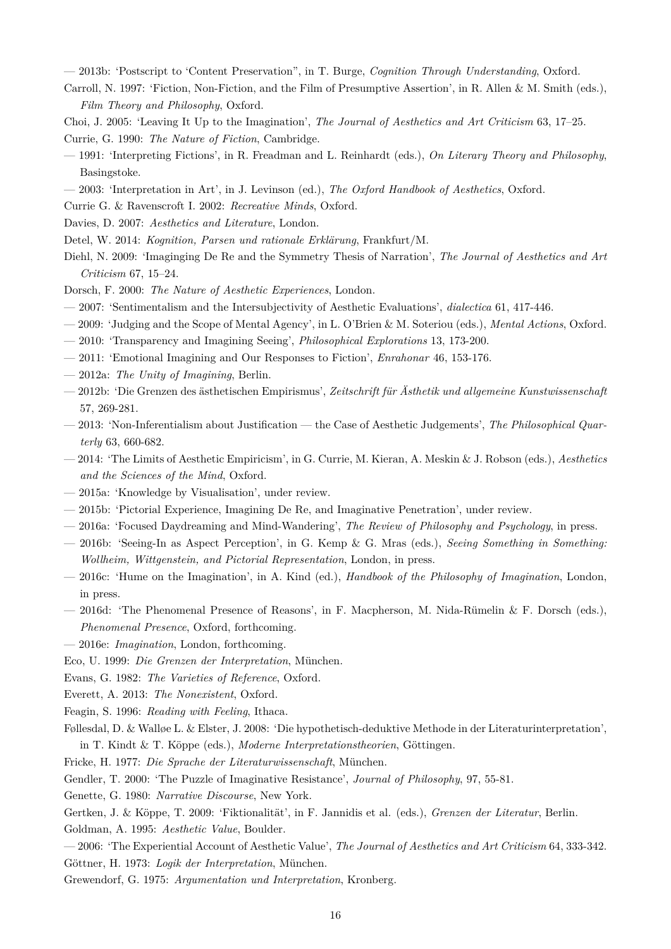— 2013b: 'Postscript to 'Content Preservation", in T. Burge, *Cognition Through Understanding*, Oxford.

Carroll, N. 1997: 'Fiction, Non-Fiction, and the Film of Presumptive Assertion', in R. Allen & M. Smith (eds.), *Film Theory and Philosophy*, Oxford.

Choi, J. 2005: 'Leaving It Up to the Imagination', *The Journal of Aesthetics and Art Criticism* 63, 17–25. Currie, G. 1990: *The Nature of Fiction*, Cambridge.

- 1991: 'Interpreting Fictions', in R. Freadman and L. Reinhardt (eds.), *On Literary Theory and Philosophy*, Basingstoke.
- 2003: 'Interpretation in Art', in J. Levinson (ed.), *The Oxford Handbook of Aesthetics*, Oxford.
- Currie G. & Ravenscroft I. 2002: *Recreative Minds*, Oxford.
- Davies, D. 2007: *Aesthetics and Literature*, London.
- Detel, W. 2014: *Kognition, Parsen und rationale Erklärung*, Frankfurt/M.
- Diehl, N. 2009: 'Imaginging De Re and the Symmetry Thesis of Narration', *The Journal of Aesthetics and Art Criticism* 67, 15–24.

Dorsch, F. 2000: *The Nature of Aesthetic Experiences*, London.

- 2007: 'Sentimentalism and the Intersubjectivity of Aesthetic Evaluations', *dialectica* 61, 417-446.
- 2009: 'Judging and the Scope of Mental Agency', in L. O'Brien & M. Soteriou (eds.), *Mental Actions*, Oxford.
- 2010: 'Transparency and Imagining Seeing', *Philosophical Explorations* 13, 173-200.
- 2011: 'Emotional Imagining and Our Responses to Fiction', *Enrahonar* 46, 153-176.
- 2012a: *The Unity of Imagining*, Berlin.
- 2012b: 'Die Grenzen des ästhetischen Empirismus', *Zeitschrift für Ästhetik und allgemeine Kunstwissenschaft* 57, 269-281.
- 2013: 'Non-Inferentialism about Justification the Case of Aesthetic Judgements', *The Philosophical Quarterly* 63, 660-682.
- 2014: 'The Limits of Aesthetic Empiricism', in G. Currie, M. Kieran, A. Meskin & J. Robson (eds.), *Aesthetics and the Sciences of the Mind*, Oxford.
- 2015a: 'Knowledge by Visualisation', under review.
- 2015b: 'Pictorial Experience, Imagining De Re, and Imaginative Penetration', under review.
- 2016a: 'Focused Daydreaming and Mind-Wandering', *The Review of Philosophy and Psychology*, in press.
- 2016b: 'Seeing-In as Aspect Perception', in G. Kemp & G. Mras (eds.), *Seeing Something in Something: Wollheim, Wittgenstein, and Pictorial Representation*, London, in press.
- 2016c: 'Hume on the Imagination', in A. Kind (ed.), *Handbook of the Philosophy of Imagination*, London, in press.
- 2016d: 'The Phenomenal Presence of Reasons', in F. Macpherson, M. Nida-Rümelin & F. Dorsch (eds.), *Phenomenal Presence*, Oxford, forthcoming.
- 2016e: *Imagination*, London, forthcoming.

Eco, U. 1999: *Die Grenzen der Interpretation*, München.

Evans, G. 1982: *The Varieties of Reference*, Oxford.

Everett, A. 2013: *The Nonexistent*, Oxford.

- Feagin, S. 1996: *Reading with Feeling*, Ithaca.
- Føllesdal, D. & Walløe L. & Elster, J. 2008: 'Die hypothetisch-deduktive Methode in der Literaturinterpretation', in T. Kindt & T. Köppe (eds.), *Moderne Interpretationstheorien*, Göttingen.

Fricke, H. 1977: *Die Sprache der Literaturwissenschaft*, München.

Gendler, T. 2000: 'The Puzzle of Imaginative Resistance', *Journal of Philosophy*, 97, 55-81.

Genette, G. 1980: *Narrative Discourse*, New York.

Gertken, J. & Köppe, T. 2009: 'Fiktionalität', in F. Jannidis et al. (eds.), *Grenzen der Literatur*, Berlin.

Goldman, A. 1995: *Aesthetic Value*, Boulder.

— 2006: 'The Experiential Account of Aesthetic Value', *The Journal of Aesthetics and Art Criticism* 64, 333-342. Göttner, H. 1973: *Logik der Interpretation*, München.

Grewendorf, G. 1975: *Argumentation und Interpretation*, Kronberg.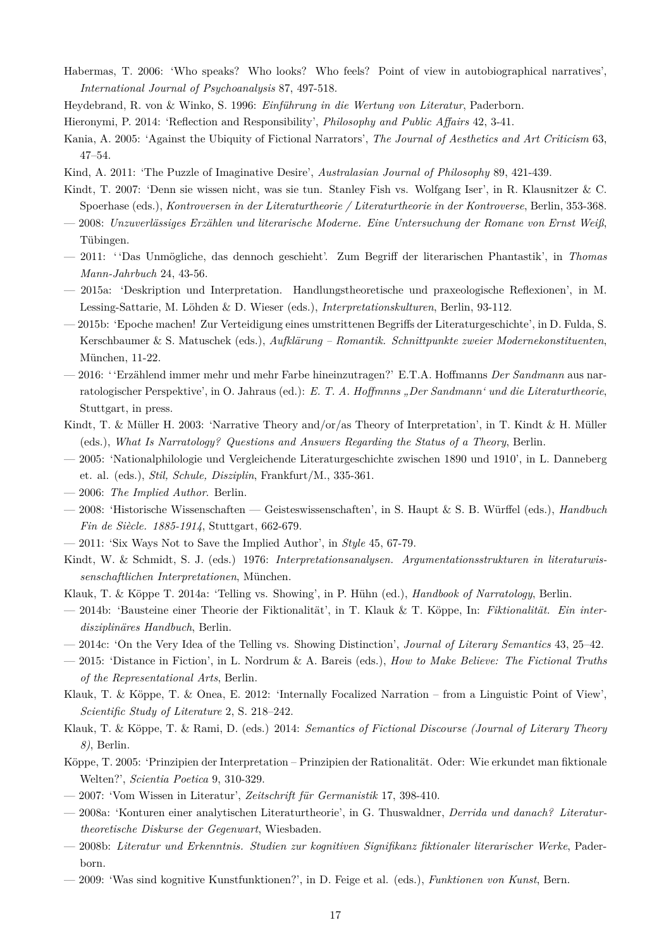- Habermas, T. 2006: 'Who speaks? Who looks? Who feels? Point of view in autobiographical narratives', *International Journal of Psychoanalysis* 87, 497-518.
- Heydebrand, R. von & Winko, S. 1996: *Einführung in die Wertung von Literatur*, Paderborn.
- Hieronymi, P. 2014: 'Reflection and Responsibility', *Philosophy and Public Affairs* 42, 3-41.
- Kania, A. 2005: 'Against the Ubiquity of Fictional Narrators', *The Journal of Aesthetics and Art Criticism* 63, 47–54.
- Kind, A. 2011: 'The Puzzle of Imaginative Desire', *Australasian Journal of Philosophy* 89, 421-439.
- Kindt, T. 2007: 'Denn sie wissen nicht, was sie tun. Stanley Fish vs. Wolfgang Iser', in R. Klausnitzer & C. Spoerhase (eds.), *Kontroversen in der Literaturtheorie / Literaturtheorie in der Kontroverse*, Berlin, 353-368.
- 2008: *Unzuverlässiges Erzählen und literarische Moderne. Eine Untersuchung der Romane von Ernst Weiß*, Tübingen.
- 2011: ' 'Das Unmögliche, das dennoch geschieht'. Zum Begriff der literarischen Phantastik', in *Thomas Mann-Jahrbuch* 24, 43-56.
- 2015a: 'Deskription und Interpretation. Handlungstheoretische und praxeologische Reflexionen', in M. Lessing-Sattarie, M. Löhden & D. Wieser (eds.), *Interpretationskulturen*, Berlin, 93-112.
- 2015b: 'Epoche machen! Zur Verteidigung eines umstrittenen Begriffs der Literaturgeschichte', in D. Fulda, S. Kerschbaumer & S. Matuschek (eds.), *Aufklärung – Romantik. Schnittpunkte zweier Modernekonstituenten*, München, 11-22.
- 2016: ' 'Erzählend immer mehr und mehr Farbe hineinzutragen?' E.T.A. Hoffmanns *Der Sandmann* aus narratologischer Perspektive', in O. Jahraus (ed.): *E. T. A. Hoffmnns "Der Sandmann' und die Literaturtheorie*, Stuttgart, in press.
- Kindt, T. & Müller H. 2003: 'Narrative Theory and/or/as Theory of Interpretation', in T. Kindt & H. Müller (eds.), *What Is Narratology? Questions and Answers Regarding the Status of a Theory*, Berlin.
- 2005: 'Nationalphilologie und Vergleichende Literaturgeschichte zwischen 1890 und 1910', in L. Danneberg et. al. (eds.), *Stil, Schule, Disziplin*, Frankfurt/M., 335-361.
- 2006: *The Implied Author*. Berlin.
- 2008: 'Historische Wissenschaften Geisteswissenschaften', in S. Haupt & S. B. Würffel (eds.), *Handbuch Fin de Siècle. 1885-1914*, Stuttgart, 662-679.
- 2011: 'Six Ways Not to Save the Implied Author', in *Style* 45, 67-79.
- Kindt, W. & Schmidt, S. J. (eds.) 1976: *Interpretationsanalysen. Argumentationsstrukturen in literaturwissenschaftlichen Interpretationen*, München.
- Klauk, T. & Köppe T. 2014a: 'Telling vs. Showing', in P. Hühn (ed.), *Handbook of Narratology*, Berlin.
- 2014b: 'Bausteine einer Theorie der Fiktionalität', in T. Klauk & T. Köppe, In: *Fiktionalität. Ein interdisziplinäres Handbuch*, Berlin.
- 2014c: 'On the Very Idea of the Telling vs. Showing Distinction', *Journal of Literary Semantics* 43, 25–42.
- 2015: 'Distance in Fiction', in L. Nordrum & A. Bareis (eds.), *How to Make Believe: The Fictional Truths of the Representational Arts*, Berlin.
- Klauk, T. & Köppe, T. & Onea, E. 2012: 'Internally Focalized Narration from a Linguistic Point of View', *Scientific Study of Literature* 2, S. 218–242.
- Klauk, T. & Köppe, T. & Rami, D. (eds.) 2014: *Semantics of Fictional Discourse (Journal of Literary Theory 8)*, Berlin.
- Köppe, T. 2005: 'Prinzipien der Interpretation Prinzipien der Rationalität. Oder: Wie erkundet man fiktionale Welten?', *Scientia Poetica* 9, 310-329.
- 2007: 'Vom Wissen in Literatur', *Zeitschrift für Germanistik* 17, 398-410.
- 2008a: 'Konturen einer analytischen Literaturtheorie', in G. Thuswaldner, *Derrida und danach? Literaturtheoretische Diskurse der Gegenwart*, Wiesbaden.
- 2008b: *Literatur und Erkenntnis. Studien zur kognitiven Signifikanz fiktionaler literarischer Werke*, Paderborn.
- 2009: 'Was sind kognitive Kunstfunktionen?', in D. Feige et al. (eds.), *Funktionen von Kunst*, Bern.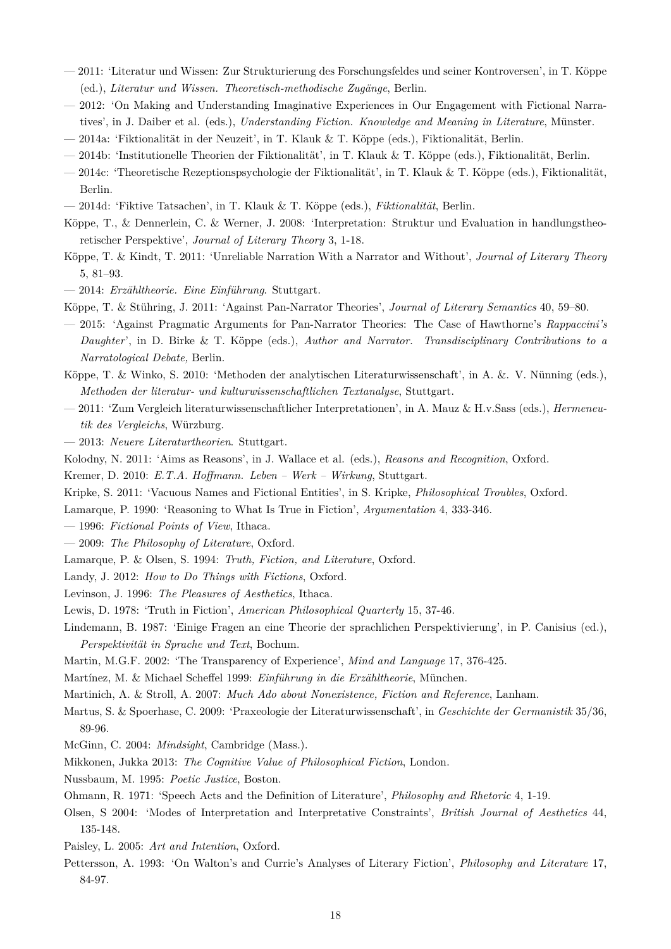- 2011: 'Literatur und Wissen: Zur Strukturierung des Forschungsfeldes und seiner Kontroversen', in T. Köppe (ed.), *Literatur und Wissen. Theoretisch-methodische Zugänge*, Berlin.
- 2012: 'On Making and Understanding Imaginative Experiences in Our Engagement with Fictional Narratives', in J. Daiber et al. (eds.), *Understanding Fiction. Knowledge and Meaning in Literature*, Münster.
- 2014a: 'Fiktionalität in der Neuzeit', in T. Klauk & T. Köppe (eds.), Fiktionalität, Berlin.
- 2014b: 'Institutionelle Theorien der Fiktionalität', in T. Klauk & T. Köppe (eds.), Fiktionalität, Berlin.
- 2014c: 'Theoretische Rezeptionspsychologie der Fiktionalität', in T. Klauk & T. Köppe (eds.), Fiktionalität, Berlin.
- 2014d: 'Fiktive Tatsachen', in T. Klauk & T. Köppe (eds.), *Fiktionalität*, Berlin.
- Köppe, T., & Dennerlein, C. & Werner, J. 2008: 'Interpretation: Struktur und Evaluation in handlungstheoretischer Perspektive', *Journal of Literary Theory* 3, 1-18.
- Köppe, T. & Kindt, T. 2011: 'Unreliable Narration With a Narrator and Without', *Journal of Literary Theory* 5, 81–93.
- 2014: *Erzähltheorie. Eine Einführung*. Stuttgart.
- Köppe, T. & Stühring, J. 2011: 'Against Pan-Narrator Theories', *Journal of Literary Semantics* 40, 59–80.
- 2015: 'Against Pragmatic Arguments for Pan-Narrator Theories: The Case of Hawthorne's *Rappaccini's Daughter*', in D. Birke & T. Köppe (eds.), *Author and Narrator. Transdisciplinary Contributions to a Narratological Debate,* Berlin.
- Köppe, T. & Winko, S. 2010: 'Methoden der analytischen Literaturwissenschaft', in A. &. V. Nünning (eds.), *Methoden der literatur- und kulturwissenschaftlichen Textanalyse*, Stuttgart.
- 2011: 'Zum Vergleich literaturwissenschaftlicher Interpretationen', in A. Mauz & H.v.Sass (eds.), *Hermeneutik des Vergleichs*, Würzburg.
- 2013: *Neuere Literaturtheorien*. Stuttgart.
- Kolodny, N. 2011: 'Aims as Reasons', in J. Wallace et al. (eds.), *Reasons and Recognition*, Oxford.
- Kremer, D. 2010: *E.T.A. Hoffmann. Leben Werk Wirkung*, Stuttgart.
- Kripke, S. 2011: 'Vacuous Names and Fictional Entities', in S. Kripke, *Philosophical Troubles*, Oxford.
- Lamarque, P. 1990: 'Reasoning to What Is True in Fiction', *Argumentation* 4, 333-346.
- 1996: *Fictional Points of View*, Ithaca.
- 2009: *The Philosophy of Literature*, Oxford.
- Lamarque, P. & Olsen, S. 1994: *Truth, Fiction, and Literature*, Oxford.
- Landy, J. 2012: *How to Do Things with Fictions*, Oxford.
- Levinson, J. 1996: *The Pleasures of Aesthetics*, Ithaca.
- Lewis, D. 1978: 'Truth in Fiction', *American Philosophical Quarterly* 15, 37-46.
- Lindemann, B. 1987: 'Einige Fragen an eine Theorie der sprachlichen Perspektivierung', in P. Canisius (ed.), *Perspektivität in Sprache und Text*, Bochum.
- Martin, M.G.F. 2002: 'The Transparency of Experience', *Mind and Language* 17, 376-425.
- Martínez, M. & Michael Scheffel 1999: *Einführung in die Erzähltheorie*, München.
- Martinich, A. & Stroll, A. 2007: *Much Ado about Nonexistence, Fiction and Reference*, Lanham.
- Martus, S. & Spoerhase, C. 2009: 'Praxeologie der Literaturwissenschaft', in *Geschichte der Germanistik* 35/36, 89-96.
- McGinn, C. 2004: *Mindsight*, Cambridge (Mass.).
- Mikkonen, Jukka 2013: *The Cognitive Value of Philosophical Fiction*, London.
- Nussbaum, M. 1995: *Poetic Justice*, Boston.
- Ohmann, R. 1971: 'Speech Acts and the Definition of Literature', *Philosophy and Rhetoric* 4, 1-19.
- Olsen, S 2004: 'Modes of Interpretation and Interpretative Constraints', *British Journal of Aesthetics* 44, 135-148.
- Paisley, L. 2005: *Art and Intention*, Oxford.
- Pettersson, A. 1993: 'On Walton's and Currie's Analyses of Literary Fiction', *Philosophy and Literature* 17, 84-97.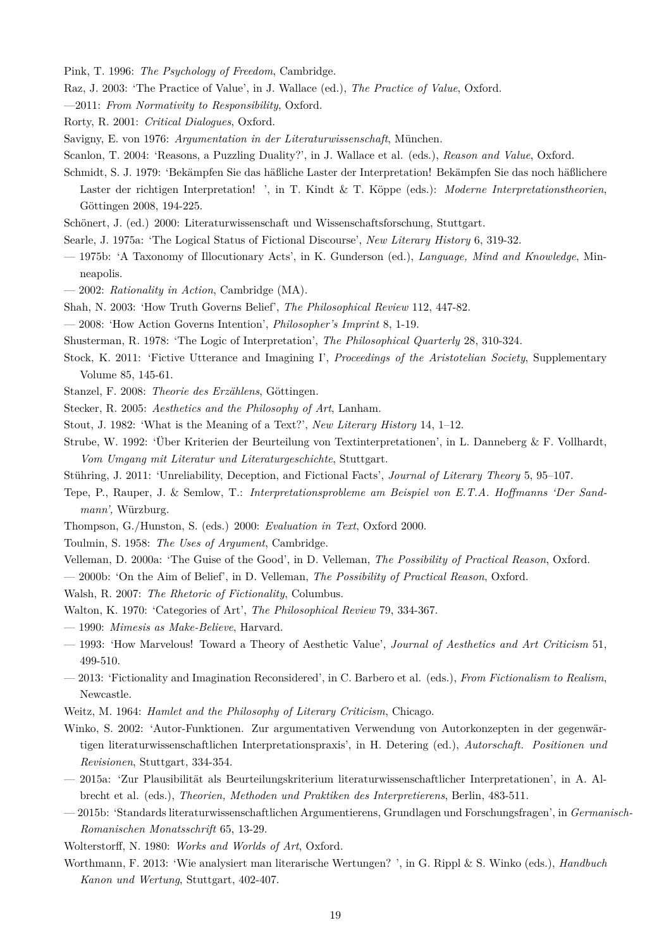Pink, T. 1996: *The Psychology of Freedom*, Cambridge.

- Raz, J. 2003: 'The Practice of Value', in J. Wallace (ed.), *The Practice of Value*, Oxford.
- —2011: *From Normativity to Responsibility*, Oxford.
- Rorty, R. 2001: *Critical Dialogues*, Oxford.
- Savigny, E. von 1976: *Argumentation in der Literaturwissenschaft*, München.
- Scanlon, T. 2004: 'Reasons, a Puzzling Duality?', in J. Wallace et al. (eds.), *Reason and Value*, Oxford.
- Schmidt, S. J. 1979: 'Bekämpfen Sie das häßliche Laster der Interpretation! Bekämpfen Sie das noch häßlichere Laster der richtigen Interpretation! ', in T. Kindt & T. Köppe (eds.): *Moderne Interpretationstheorien*, Göttingen 2008, 194-225.
- Schönert, J. (ed.) 2000: Literaturwissenschaft und Wissenschaftsforschung, Stuttgart.
- Searle, J. 1975a: 'The Logical Status of Fictional Discourse', *New Literary History* 6, 319-32.
- 1975b: 'A Taxonomy of Illocutionary Acts', in K. Gunderson (ed.), *Language, Mind and Knowledge*, Minneapolis.
- 2002: *Rationality in Action*, Cambridge (MA).
- Shah, N. 2003: 'How Truth Governs Belief', *The Philosophical Review* 112, 447-82.
- 2008: 'How Action Governs Intention', *Philosopher's Imprint* 8, 1-19.
- Shusterman, R. 1978: 'The Logic of Interpretation', *The Philosophical Quarterly* 28, 310-324.
- Stock, K. 2011: 'Fictive Utterance and Imagining I', *Proceedings of the Aristotelian Society*, Supplementary Volume 85, 145-61.
- Stanzel, F. 2008: *Theorie des Erzählens*, Göttingen.
- Stecker, R. 2005: *Aesthetics and the Philosophy of Art*, Lanham.
- Stout, J. 1982: 'What is the Meaning of a Text?', *New Literary History* 14, 1–12.
- Strube, W. 1992: 'Über Kriterien der Beurteilung von Textinterpretationen', in L. Danneberg & F. Vollhardt, *Vom Umgang mit Literatur und Literaturgeschichte*, Stuttgart.
- Stühring, J. 2011: 'Unreliability, Deception, and Fictional Facts', *Journal of Literary Theory* 5, 95–107.
- Tepe, P., Rauper, J. & Semlow, T.: *Interpretationsprobleme am Beispiel von E.T.A. Hoffmanns 'Der Sandmann',* Würzburg.
- Thompson, G./Hunston, S. (eds.) 2000: *Evaluation in Text*, Oxford 2000.
- Toulmin, S. 1958: *The Uses of Argument*, Cambridge.
- Velleman, D. 2000a: 'The Guise of the Good', in D. Velleman, *The Possibility of Practical Reason*, Oxford.

— 2000b: 'On the Aim of Belief', in D. Velleman, *The Possibility of Practical Reason*, Oxford.

- Walsh, R. 2007: *The Rhetoric of Fictionality*, Columbus.
- Walton, K. 1970: 'Categories of Art', *The Philosophical Review* 79, 334-367.
- 1990: *Mimesis as Make-Believe*, Harvard.
- 1993: 'How Marvelous! Toward a Theory of Aesthetic Value', *Journal of Aesthetics and Art Criticism* 51, 499-510.
- 2013: 'Fictionality and Imagination Reconsidered', in C. Barbero et al. (eds.), *From Fictionalism to Realism*, Newcastle.
- Weitz, M. 1964: *Hamlet and the Philosophy of Literary Criticism*, Chicago.
- Winko, S. 2002: 'Autor-Funktionen. Zur argumentativen Verwendung von Autorkonzepten in der gegenwärtigen literaturwissenschaftlichen Interpretationspraxis', in H. Detering (ed.), *Autorschaft. Positionen und Revisionen*, Stuttgart, 334-354.
- 2015a: 'Zur Plausibilität als Beurteilungskriterium literaturwissenschaftlicher Interpretationen', in A. Albrecht et al. (eds.), *Theorien, Methoden und Praktiken des Interpretierens*, Berlin, 483-511.
- 2015b: 'Standards literaturwissenschaftlichen Argumentierens, Grundlagen und Forschungsfragen', in *Germanisch-Romanischen Monatsschrift* 65, 13-29.
- Wolterstorff, N. 1980: *Works and Worlds of Art*, Oxford.
- Worthmann, F. 2013: 'Wie analysiert man literarische Wertungen? ', in G. Rippl & S. Winko (eds.), *Handbuch Kanon und Wertung*, Stuttgart, 402-407.